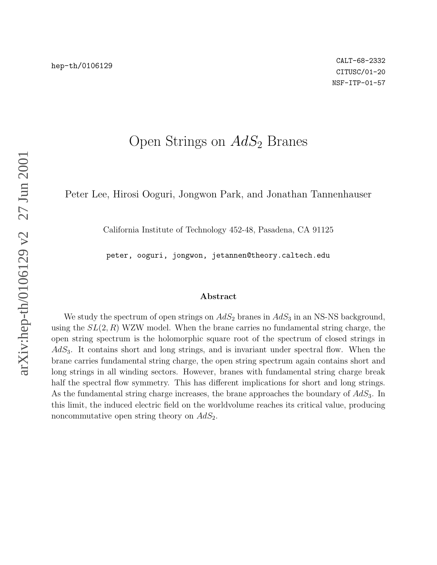# Open Strings on  $AdS_2$  Branes

Peter Lee, Hirosi Ooguri, Jongwon Park, and Jonathan Tannenhauser

California Institute of Technology 452-48, Pasadena, CA 91125

peter, ooguri, jongwon, jetannen@theory.caltech.edu

#### Abstract

We study the spectrum of open strings on  $AdS_2$  branes in  $AdS_3$  in an NS-NS background, using the  $SL(2, R)$  WZW model. When the brane carries no fundamental string charge, the open string spectrum is the holomorphic square root of the spectrum of closed strings in  $AdS<sub>3</sub>$ . It contains short and long strings, and is invariant under spectral flow. When the brane carries fundamental string charge, the open string spectrum again contains short and long strings in all winding sectors. However, branes with fundamental string charge break half the spectral flow symmetry. This has different implications for short and long strings. As the fundamental string charge increases, the brane approaches the boundary of  $AdS_3$ . In this limit, the induced electric field on the worldvolume reaches its critical value, producing noncommutative open string theory on  $AdS_2$ .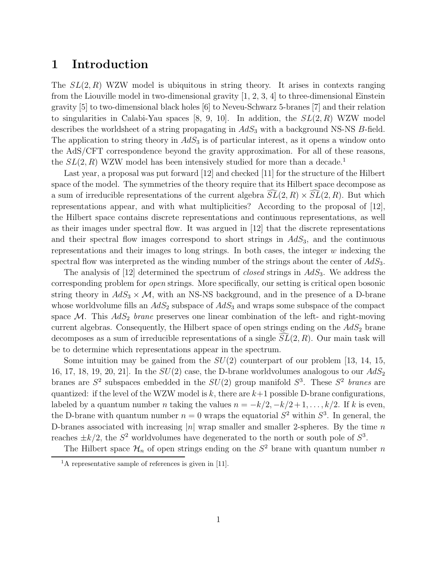# 1 Introduction

The  $SL(2, R)$  WZW model is ubiquitous in string theory. It arises in contexts ranging from the Liouville model in two-dimensional gravity  $[1, 2, 3, 4]$  to three-dimensional Einstein gravity [5] to two-dimensional black holes [6] to Neveu-Schwarz 5-branes [7] and their relation to singularities in Calabi-Yau spaces [8, 9, 10]. In addition, the  $SL(2, R)$  WZW model describes the worldsheet of a string propagating in  $AdS_3$  with a background NS-NS B-field. The application to string theory in  $AdS_3$  is of particular interest, as it opens a window onto the AdS/CFT correspondence beyond the gravity approximation. For all of these reasons, the  $SL(2, R)$  WZW model has been intensively studied for more than a decade.<sup>1</sup>

Last year, a proposal was put forward [12] and checked [11] for the structure of the Hilbert space of the model. The symmetries of the theory require that its Hilbert space decompose as a sum of irreducible representations of the current algebra  $SL(2, R) \times SL(2, R)$ . But which representations appear, and with what multiplicities? According to the proposal of [12], the Hilbert space contains discrete representations and continuous representations, as well as their images under spectral flow. It was argued in [12] that the discrete representations and their spectral flow images correspond to short strings in  $AdS<sub>3</sub>$ , and the continuous representations and their images to long strings. In both cases, the integer  $w$  indexing the spectral flow was interpreted as the winding number of the strings about the center of  $AdS_3$ .

The analysis of  $[12]$  determined the spectrum of *closed* strings in  $AdS_3$ . We address the corresponding problem for open strings. More specifically, our setting is critical open bosonic string theory in  $AdS_3 \times M$ , with an NS-NS background, and in the presence of a D-brane whose worldvolume fills an  $AdS_2$  subspace of  $AdS_3$  and wraps some subspace of the compact space  $\mathcal{M}$ . This  $AdS_2$  brane preserves one linear combination of the left- and right-moving current algebras. Consequently, the Hilbert space of open strings ending on the  $AdS<sub>2</sub>$  brane decomposes as a sum of irreducible representations of a single  $SL(2, R)$ . Our main task will be to determine which representations appear in the spectrum.

Some intuition may be gained from the  $SU(2)$  counterpart of our problem [13, 14, 15, 16, 17, 18, 19, 20, 21]. In the  $SU(2)$  case, the D-brane worldvolumes analogous to our  $AdS_2$ branes are  $S^2$  subspaces embedded in the  $SU(2)$  group manifold  $S^3$ . These  $S^2$  branes are quantized: if the level of the WZW model is k, there are  $k+1$  possible D-brane configurations, labeled by a quantum number *n* taking the values  $n = -k/2, -k/2 + 1, \ldots, k/2$ . If k is even, the D-brane with quantum number  $n = 0$  wraps the equatorial  $S^2$  within  $S^3$ . In general, the D-branes associated with increasing |n| wrap smaller and smaller 2-spheres. By the time n reaches  $\pm k/2$ , the  $S^2$  worldvolumes have degenerated to the north or south pole of  $S^3$ .

The Hilbert space  $\mathcal{H}_n$  of open strings ending on the  $S^2$  brane with quantum number n

<sup>&</sup>lt;sup>1</sup>A representative sample of references is given in [11].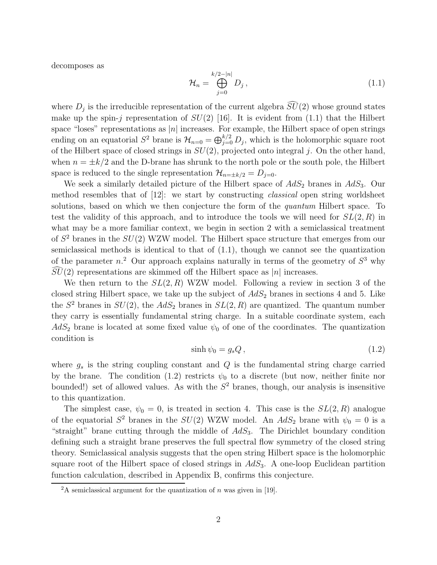decomposes as

$$
\mathcal{H}_n = \bigoplus_{j=0}^{k/2-|n|} D_j, \qquad (1.1)
$$

where  $D_j$  is the irreducible representation of the current algebra  $SU(2)$  whose ground states make up the spin-j representation of  $SU(2)$  [16]. It is evident from (1.1) that the Hilbert space "loses" representations as |n| increases. For example, the Hilbert space of open strings ending on an equatorial  $S^2$  brane is  $\mathcal{H}_{n=0} = \bigoplus_{j=0}^{k/2} D_j$ , which is the holomorphic square root of the Hilbert space of closed strings in  $SU(2)$ , projected onto integral j. On the other hand, when  $n = \pm k/2$  and the D-brane has shrunk to the north pole or the south pole, the Hilbert space is reduced to the single representation  $\mathcal{H}_{n=\pm k/2} = D_{j=0}$ .

We seek a similarly detailed picture of the Hilbert space of  $AdS_2$  branes in  $AdS_3$ . Our method resembles that of  $[12]$ : we start by constructing *classical* open string worldsheet solutions, based on which we then conjecture the form of the *quantum* Hilbert space. To test the validity of this approach, and to introduce the tools we will need for  $SL(2, R)$  in what may be a more familiar context, we begin in section 2 with a semiclassical treatment of  $S^2$  branes in the  $SU(2)$  WZW model. The Hilbert space structure that emerges from our semiclassical methods is identical to that of (1.1), though we cannot see the quantization of the parameter  $n^2$  Our approach explains naturally in terms of the geometry of  $S^3$  why  $SU(2)$  representations are skimmed off the Hilbert space as |n| increases.

We then return to the  $SL(2, R)$  WZW model. Following a review in section 3 of the closed string Hilbert space, we take up the subject of  $AdS_2$  branes in sections 4 and 5. Like the  $S^2$  branes in  $SU(2)$ , the  $AdS_2$  branes in  $SL(2, R)$  are quantized. The quantum number they carry is essentially fundamental string charge. In a suitable coordinate system, each  $AdS_2$  brane is located at some fixed value  $\psi_0$  of one of the coordinates. The quantization condition is

$$
\sinh \psi_0 = g_s Q \,, \tag{1.2}
$$

where  $g_s$  is the string coupling constant and  $Q$  is the fundamental string charge carried by the brane. The condition (1.2) restricts  $\psi_0$  to a discrete (but now, neither finite nor bounded!) set of allowed values. As with the  $S<sup>2</sup>$  branes, though, our analysis is insensitive to this quantization.

The simplest case,  $\psi_0 = 0$ , is treated in section 4. This case is the  $SL(2, R)$  analogue of the equatorial  $S^2$  branes in the  $SU(2)$  WZW model. An  $AdS_2$  brane with  $\psi_0 = 0$  is a "straight" brane cutting through the middle of  $AdS_3$ . The Dirichlet boundary condition defining such a straight brane preserves the full spectral flow symmetry of the closed string theory. Semiclassical analysis suggests that the open string Hilbert space is the holomorphic square root of the Hilbert space of closed strings in  $AdS<sub>3</sub>$ . A one-loop Euclidean partition function calculation, described in Appendix B, confirms this conjecture.

<sup>&</sup>lt;sup>2</sup>A semiclassical argument for the quantization of *n* was given in [19].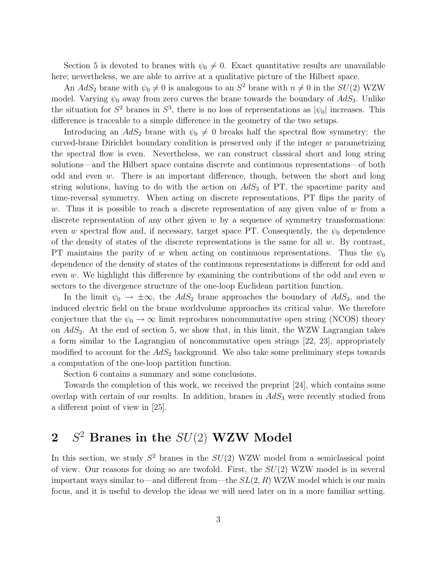Section 5 is devoted to branes with  $\psi_0 \neq 0$ . Exact quantitative results are unavailable here; nevertheless, we are able to arrive at a qualitative picture of the Hilbert space.

An  $AdS_2$  brane with  $\psi_0 \neq 0$  is analogous to an  $S^2$  brane with  $n \neq 0$  in the  $SU(2)$  WZW model. Varying  $\psi_0$  away from zero curves the brane towards the boundary of  $AdS_3$ . Unlike the situation for  $S^2$  branes in  $S^3$ , there is no loss of representations as  $|\psi_0|$  increases. This difference is traceable to a simple difference in the geometry of the two setups.

Introducing an  $AdS_2$  brane with  $\psi_0 \neq 0$  breaks half the spectral flow symmetry: the curved-brane Dirichlet boundary condition is preserved only if the integer w parametrizing the spectral flow is even. Nevertheless, we can construct classical short and long string solutions—and the Hilbert space contains discrete and continuous representations—of both odd and even  $w$ . There is an important difference, though, between the short and long string solutions, having to do with the action on  $AdS_3$  of PT, the spacetime parity and time-reversal symmetry. When acting on discrete representations, PT flips the parity of w. Thus it is possible to reach a discrete representation of any given value of  $w$  from a discrete representation of any other given  $w$  by a sequence of symmetry transformations: even w spectral flow and, if necessary, target space PT. Consequently, the  $\psi_0$  dependence of the density of states of the discrete representations is the same for all  $w$ . By contrast, PT maintains the parity of w when acting on continuous representations. Thus the  $\psi_0$ dependence of the density of states of the continuous representations is different for odd and even w. We highlight this difference by examining the contributions of the odd and even  $w$ sectors to the divergence structure of the one-loop Euclidean partition function.

In the limit  $\psi_0 \to \pm \infty$ , the  $AdS_2$  brane approaches the boundary of  $AdS_3$ , and the induced electric field on the brane worldvolume approaches its critical value. We therefore conjecture that the  $\psi_0 \to \infty$  limit reproduces noncommutative open string (NCOS) theory on  $AdS<sub>2</sub>$ . At the end of section 5, we show that, in this limit, the WZW Lagrangian takes a form similar to the Lagrangian of noncommutative open strings [22, 23], appropriately modified to account for the  $AdS_2$  background. We also take some preliminary steps towards a computation of the one-loop partition function.

Section 6 contains a summary and some conclusions.

Towards the completion of this work, we received the preprint [24], which contains some overlap with certain of our results. In addition, branes in  $AdS<sub>3</sub>$  were recently studied from a different point of view in [25].

# $2 S^2$  Branes in the  $SU(2)$  WZW Model

In this section, we study  $S^2$  branes in the  $SU(2)$  WZW model from a semiclassical point of view. Our reasons for doing so are twofold. First, the  $SU(2)$  WZW model is in several important ways similar to—and different from—the  $SL(2, R)$  WZW model which is our main focus, and it is useful to develop the ideas we will need later on in a more familiar setting.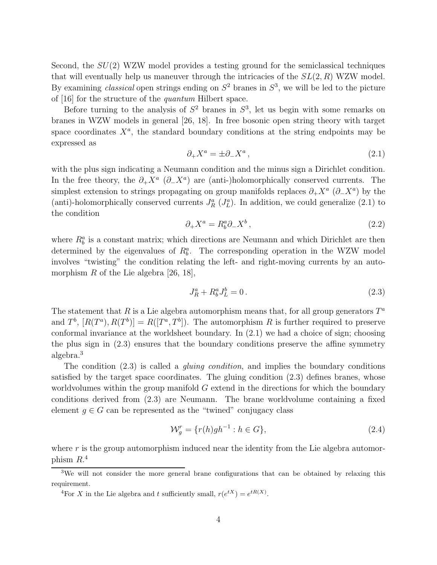Second, the  $SU(2)$  WZW model provides a testing ground for the semiclassical techniques that will eventually help us maneuver through the intricacies of the  $SL(2, R)$  WZW model. By examining *classical* open strings ending on  $S^2$  branes in  $S^3$ , we will be led to the picture of [16] for the structure of the quantum Hilbert space.

Before turning to the analysis of  $S^2$  branes in  $S^3$ , let us begin with some remarks on branes in WZW models in general [26, 18]. In free bosonic open string theory with target space coordinates  $X^a$ , the standard boundary conditions at the string endpoints may be expressed as

$$
\partial_+ X^a = \pm \partial_- X^a \,,\tag{2.1}
$$

with the plus sign indicating a Neumann condition and the minus sign a Dirichlet condition. In the free theory, the  $\partial_+ X^a$  ( $\partial_- X^a$ ) are (anti-)holomorphically conserved currents. The simplest extension to strings propagating on group manifolds replaces  $\partial_+ X^a$  ( $\partial_- X^a$ ) by the (anti)-holomorphically conserved currents  $J_R^a$  ( $J_L^a$ ). In addition, we could generalize (2.1) to the condition

$$
\partial_+ X^a = R^a_b \partial_- X^b \,, \tag{2.2}
$$

where  $R_b^a$  is a constant matrix; which directions are Neumann and which Dirichlet are then determined by the eigenvalues of  $R_b^a$ . The corresponding operation in the WZW model involves "twisting" the condition relating the left- and right-moving currents by an automorphism R of the Lie algebra  $[26, 18]$ ,

$$
J_R^a + R_b^a J_L^b = 0.
$$
\n(2.3)

The statement that R is a Lie algebra automorphism means that, for all group generators  $T^a$ and  $T^b$ ,  $[R(T^a), R(T^b)] = R([T^a, T^b])$ . The automorphism R is further required to preserve conformal invariance at the worldsheet boundary. In (2.1) we had a choice of sign; choosing the plus sign in (2.3) ensures that the boundary conditions preserve the affine symmetry algebra.<sup>3</sup>

The condition  $(2.3)$  is called a *gluing condition*, and implies the boundary conditions satisfied by the target space coordinates. The gluing condition (2.3) defines branes, whose worldvolumes within the group manifold  $G$  extend in the directions for which the boundary conditions derived from (2.3) are Neumann. The brane worldvolume containing a fixed element  $g \in G$  can be represented as the "twined" conjugacy class

$$
\mathcal{W}_g^r = \{r(h)gh^{-1} : h \in G\},\tag{2.4}
$$

where  $r$  is the group automorphism induced near the identity from the Lie algebra automorphism  $R^4$ .

<sup>&</sup>lt;sup>3</sup>We will not consider the more general brane configurations that can be obtained by relaxing this requirement.

<sup>&</sup>lt;sup>4</sup>For X in the Lie algebra and t sufficiently small,  $r(e^{tX}) = e^{tR(X)}$ .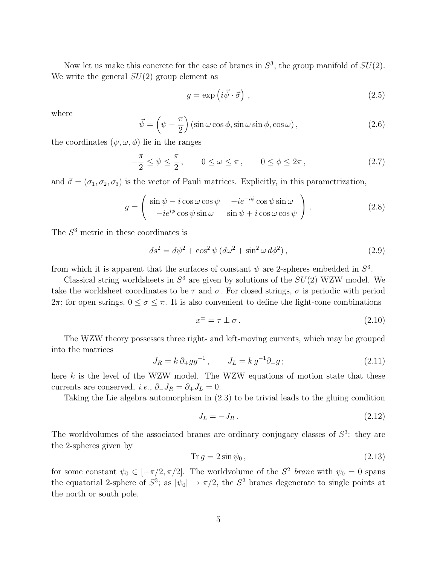Now let us make this concrete for the case of branes in  $S^3$ , the group manifold of  $SU(2)$ . We write the general  $SU(2)$  group element as

$$
g = \exp\left(i\vec{\psi}\cdot\vec{\sigma}\right),\tag{2.5}
$$

where

$$
\vec{\psi} = \left(\psi - \frac{\pi}{2}\right) \left(\sin \omega \cos \phi, \sin \omega \sin \phi, \cos \omega\right),\tag{2.6}
$$

the coordinates  $(\psi, \omega, \phi)$  lie in the ranges

$$
-\frac{\pi}{2} \le \psi \le \frac{\pi}{2}, \qquad 0 \le \omega \le \pi, \qquad 0 \le \phi \le 2\pi, \tag{2.7}
$$

and  $\vec{\sigma} = (\sigma_1, \sigma_2, \sigma_3)$  is the vector of Pauli matrices. Explicitly, in this parametrization,

$$
g = \begin{pmatrix} \sin \psi - i \cos \omega \cos \psi & -i e^{-i\phi} \cos \psi \sin \omega \\ -i e^{i\phi} \cos \psi \sin \omega & \sin \psi + i \cos \omega \cos \psi \end{pmatrix}.
$$
 (2.8)

The  $S<sup>3</sup>$  metric in these coordinates is

$$
ds^{2} = d\psi^{2} + \cos^{2}\psi \left(d\omega^{2} + \sin^{2}\omega d\phi^{2}\right),
$$
\n(2.9)

from which it is apparent that the surfaces of constant  $\psi$  are 2-spheres embedded in  $S^3$ .

Classical string worldsheets in  $S^3$  are given by solutions of the  $SU(2)$  WZW model. We take the worldsheet coordinates to be  $\tau$  and  $\sigma$ . For closed strings,  $\sigma$  is periodic with period  $2\pi$ ; for open strings,  $0 \le \sigma \le \pi$ . It is also convenient to define the light-cone combinations

$$
x^{\pm} = \tau \pm \sigma. \tag{2.10}
$$

The WZW theory possesses three right- and left-moving currents, which may be grouped into the matrices

$$
J_R = k \, \partial_+ g g^{-1} \,, \qquad J_L = k \, g^{-1} \partial_- g \, ; \tag{2.11}
$$

here  $k$  is the level of the WZW model. The WZW equations of motion state that these currents are conserved, *i.e.*,  $\partial_- J_R = \partial_+ J_L = 0$ .

Taking the Lie algebra automorphism in (2.3) to be trivial leads to the gluing condition

$$
J_L = -J_R. \tag{2.12}
$$

The worldvolumes of the associated branes are ordinary conjugacy classes of  $S<sup>3</sup>$ : they are the 2-spheres given by

$$
\operatorname{Tr} g = 2\sin\psi_0,\tag{2.13}
$$

for some constant  $\psi_0 \in [-\pi/2, \pi/2]$ . The worldvolume of the  $S^2$  brane with  $\psi_0 = 0$  spans the equatorial 2-sphere of  $S^3$ ; as  $|\psi_0| \to \pi/2$ , the  $S^2$  branes degenerate to single points at the north or south pole.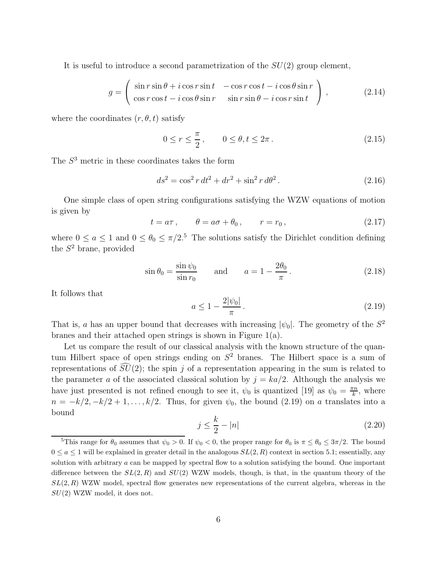It is useful to introduce a second parametrization of the  $SU(2)$  group element,

$$
g = \begin{pmatrix} \sin r \sin \theta + i \cos r \sin t & -\cos r \cos t - i \cos \theta \sin r \\ \cos r \cos t - i \cos \theta \sin r & \sin r \sin \theta - i \cos r \sin t \end{pmatrix},
$$
(2.14)

where the coordinates  $(r, \theta, t)$  satisfy

$$
0 \le r \le \frac{\pi}{2}, \qquad 0 \le \theta, t \le 2\pi. \tag{2.15}
$$

The  $S<sup>3</sup>$  metric in these coordinates takes the form

$$
ds^2 = \cos^2 r \, dt^2 + dr^2 + \sin^2 r \, d\theta^2 \,. \tag{2.16}
$$

One simple class of open string configurations satisfying the WZW equations of motion is given by

$$
t = a\tau, \qquad \theta = a\sigma + \theta_0, \qquad r = r_0, \tag{2.17}
$$

where  $0 \le a \le 1$  and  $0 \le \theta_0 \le \pi/2$ .<sup>5</sup> The solutions satisfy the Dirichlet condition defining the  $S^2$  brane, provided

$$
\sin \theta_0 = \frac{\sin \psi_0}{\sin r_0} \quad \text{and} \quad a = 1 - \frac{2\theta_0}{\pi}.
$$
 (2.18)

It follows that

$$
a \le 1 - \frac{2|\psi_0|}{\pi} \,. \tag{2.19}
$$

That is, a has an upper bound that decreases with increasing  $|\psi_0|$ . The geometry of the  $S^2$ branes and their attached open strings is shown in Figure 1(a).

Let us compare the result of our classical analysis with the known structure of the quantum Hilbert space of open strings ending on  $S<sup>2</sup>$  branes. The Hilbert space is a sum of representations of  $SU(2)$ ; the spin j of a representation appearing in the sum is related to the parameter a of the associated classical solution by  $j = ka/2$ . Although the analysis we have just presented is not refined enough to see it,  $\psi_0$  is quantized [19] as  $\psi_0 = \frac{\pi n}{k}$  $\frac{\pi n}{k}$ , where  $n = -k/2, -k/2 + 1, \ldots, k/2$ . Thus, for given  $\psi_0$ , the bound (2.19) on a translates into a bound

$$
j \le \frac{k}{2} - |n| \tag{2.20}
$$

<sup>&</sup>lt;sup>5</sup>This range for  $\theta_0$  assumes that  $\psi_0 > 0$ . If  $\psi_0 < 0$ , the proper range for  $\theta_0$  is  $\pi \leq \theta_0 \leq 3\pi/2$ . The bound  $0 \le a \le 1$  will be explained in greater detail in the analogous  $SL(2, R)$  context in section 5.1; essentially, any solution with arbitrary  $a$  can be mapped by spectral flow to a solution satisfying the bound. One important difference between the  $SL(2, R)$  and  $SU(2)$  WZW models, though, is that, in the quantum theory of the  $SL(2, R)$  WZW model, spectral flow generates new representations of the current algebra, whereas in the  $SU(2)$  WZW model, it does not.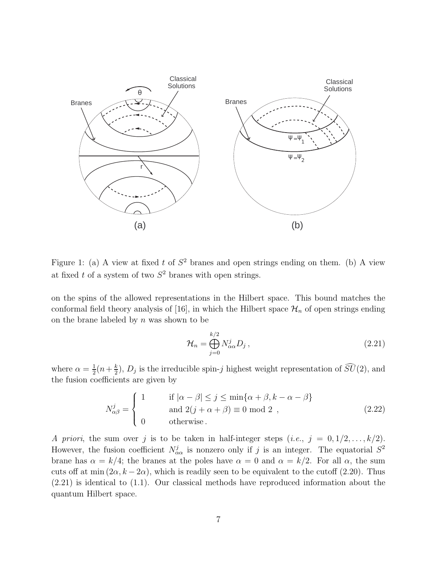

Figure 1: (a) A view at fixed t of  $S^2$  branes and open strings ending on them. (b) A view at fixed t of a system of two  $S^2$  branes with open strings.

on the spins of the allowed representations in the Hilbert space. This bound matches the conformal field theory analysis of [16], in which the Hilbert space  $\mathcal{H}_n$  of open strings ending on the brane labeled by  $n$  was shown to be

$$
\mathcal{H}_n = \bigoplus_{j=0}^{k/2} N_{\alpha\alpha}^j D_j \,, \tag{2.21}
$$

where  $\alpha = \frac{1}{2}$  $rac{1}{2}(n+\frac{k}{2})$  $\frac{k}{2}$ ,  $D_j$  is the irreducible spin-j highest weight representation of  $SU(2)$ , and the fusion coefficients are given by

$$
N_{\alpha\beta}^{j} = \begin{cases} 1 & \text{if } |\alpha - \beta| \le j \le \min\{\alpha + \beta, k - \alpha - \beta\} \\ \text{and } 2(j + \alpha + \beta) \equiv 0 \mod 2 \\ 0 & \text{otherwise.} \end{cases}
$$
 (2.22)

A priori, the sum over j is to be taken in half-integer steps  $(i.e., j = 0, 1/2, \ldots, k/2)$ . However, the fusion coefficient  $N^j_{\alpha\alpha}$  is nonzero only if j is an integer. The equatorial  $S^2$ brane has  $\alpha = k/4$ ; the branes at the poles have  $\alpha = 0$  and  $\alpha = k/2$ . For all  $\alpha$ , the sum cuts off at min  $(2\alpha, k - 2\alpha)$ , which is readily seen to be equivalent to the cutoff  $(2.20)$ . Thus (2.21) is identical to (1.1). Our classical methods have reproduced information about the quantum Hilbert space.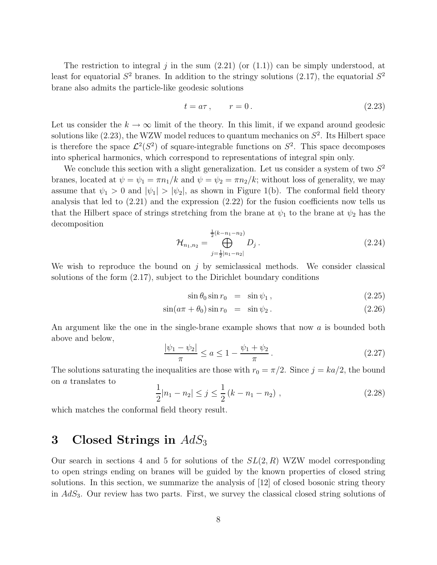The restriction to integral j in the sum  $(2.21)$  (or  $(1.1)$ ) can be simply understood, at least for equatorial  $S^2$  branes. In addition to the stringy solutions (2.17), the equatorial  $S^2$ brane also admits the particle-like geodesic solutions

$$
t = a\tau, \qquad r = 0. \tag{2.23}
$$

Let us consider the  $k \to \infty$  limit of the theory. In this limit, if we expand around geodesic solutions like  $(2.23)$ , the WZW model reduces to quantum mechanics on  $S^2$ . Its Hilbert space is therefore the space  $\mathcal{L}^2(S^2)$  of square-integrable functions on  $S^2$ . This space decomposes into spherical harmonics, which correspond to representations of integral spin only.

We conclude this section with a slight generalization. Let us consider a system of two  $S^2$ branes, located at  $\psi = \psi_1 = \pi n_1/k$  and  $\psi = \psi_2 = \pi n_2/k$ ; without loss of generality, we may assume that  $\psi_1 > 0$  and  $|\psi_1| > |\psi_2|$ , as shown in Figure 1(b). The conformal field theory analysis that led to (2.21) and the expression (2.22) for the fusion coefficients now tells us that the Hilbert space of strings stretching from the brane at  $\psi_1$  to the brane at  $\psi_2$  has the decomposition

$$
\mathcal{H}_{n_1,n_2} = \bigoplus_{j=\frac{1}{2}|n_1-n_2|}^{\frac{1}{2}(k-n_1-n_2)} D_j.
$$
\n(2.24)

We wish to reproduce the bound on  $j$  by semiclassical methods. We consider classical solutions of the form (2.17), subject to the Dirichlet boundary conditions

$$
\sin \theta_0 \sin r_0 = \sin \psi_1, \qquad (2.25)
$$

$$
\sin(a\pi + \theta_0)\sin r_0 = \sin\psi_2. \tag{2.26}
$$

An argument like the one in the single-brane example shows that now a is bounded both above and below,

$$
\frac{|\psi_1 - \psi_2|}{\pi} \le a \le 1 - \frac{\psi_1 + \psi_2}{\pi}.
$$
\n(2.27)

The solutions saturating the inequalities are those with  $r_0 = \pi/2$ . Since  $j = ka/2$ , the bound on a translates to

$$
\frac{1}{2}|n_1 - n_2| \le j \le \frac{1}{2}(k - n_1 - n_2), \qquad (2.28)
$$

which matches the conformal field theory result.

# 3 Closed Strings in  $AdS_3$

Our search in sections 4 and 5 for solutions of the  $SL(2, R)$  WZW model corresponding to open strings ending on branes will be guided by the known properties of closed string solutions. In this section, we summarize the analysis of [12] of closed bosonic string theory in  $AdS<sub>3</sub>$ . Our review has two parts. First, we survey the classical closed string solutions of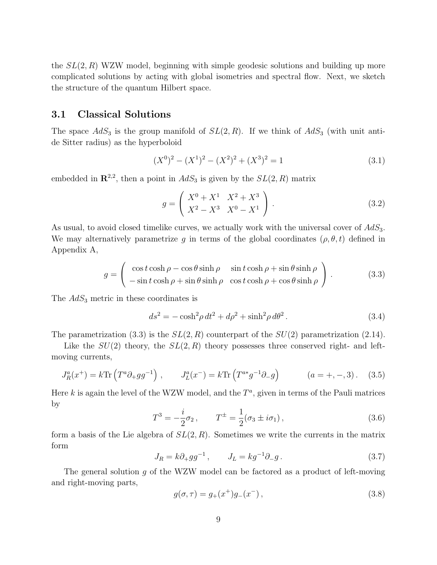the  $SL(2, R)$  WZW model, beginning with simple geodesic solutions and building up more complicated solutions by acting with global isometries and spectral flow. Next, we sketch the structure of the quantum Hilbert space.

## 3.1 Classical Solutions

The space  $AdS_3$  is the group manifold of  $SL(2, R)$ . If we think of  $AdS_3$  (with unit antide Sitter radius) as the hyperboloid

$$
(X0)2 - (X1)2 - (X2)2 + (X3)2 = 1
$$
\n(3.1)

embedded in  $\mathbb{R}^{2,2}$ , then a point in  $AdS_3$  is given by the  $SL(2,R)$  matrix

$$
g = \begin{pmatrix} X^0 + X^1 & X^2 + X^3 \\ X^2 - X^3 & X^0 - X^1 \end{pmatrix} .
$$
 (3.2)

As usual, to avoid closed timelike curves, we actually work with the universal cover of  $AdS_3$ . We may alternatively parametrize g in terms of the global coordinates  $(\rho, \theta, t)$  defined in Appendix A,

$$
g = \begin{pmatrix} \cos t \cosh \rho - \cos \theta \sinh \rho & \sin t \cosh \rho + \sin \theta \sinh \rho \\ -\sin t \cosh \rho + \sin \theta \sinh \rho & \cos t \cosh \rho + \cos \theta \sinh \rho \end{pmatrix}.
$$
 (3.3)

The  $AdS_3$  metric in these coordinates is

$$
ds2 = -\cosh2 \rho dt2 + d\rho2 + \sinh2 \rho d\theta2.
$$
 (3.4)

The parametrization (3.3) is the  $SL(2, R)$  counterpart of the  $SU(2)$  parametrization (2.14).

Like the  $SU(2)$  theory, the  $SL(2, R)$  theory possesses three conserved right- and leftmoving currents,

$$
J_R^a(x^+) = k \text{Tr} \left( T^a \partial_+ g g^{-1} \right) , \qquad J_L^a(x^-) = k \text{Tr} \left( T^{a*} g^{-1} \partial_- g \right) \qquad (a = +, -, 3). \tag{3.5}
$$

Here  $k$  is again the level of the WZW model, and the  $T^a$ , given in terms of the Pauli matrices by

$$
T^{3} = -\frac{i}{2}\sigma_{2}, \qquad T^{\pm} = \frac{1}{2}(\sigma_{3} \pm i\sigma_{1}), \qquad (3.6)
$$

form a basis of the Lie algebra of  $SL(2, R)$ . Sometimes we write the currents in the matrix form

$$
J_R = k \partial_+ g g^{-1} , \qquad J_L = k g^{-1} \partial_- g . \tag{3.7}
$$

The general solution g of the WZW model can be factored as a product of left-moving and right-moving parts,

$$
g(\sigma, \tau) = g_+(x^+)g_-(x^-), \qquad (3.8)
$$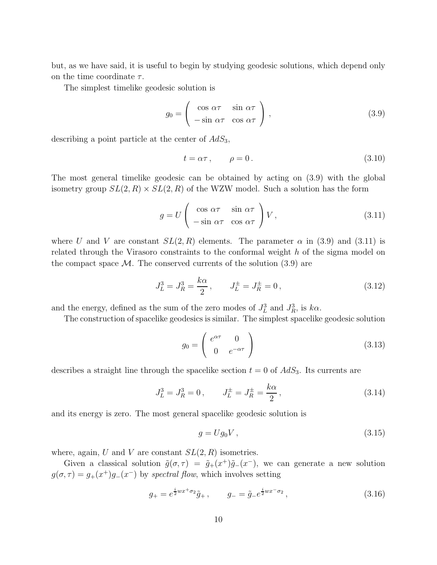but, as we have said, it is useful to begin by studying geodesic solutions, which depend only on the time coordinate  $\tau$ .

The simplest timelike geodesic solution is

$$
g_0 = \begin{pmatrix} \cos \alpha \tau & \sin \alpha \tau \\ -\sin \alpha \tau & \cos \alpha \tau \end{pmatrix},
$$
 (3.9)

describing a point particle at the center of  $AdS_3$ ,

$$
t = \alpha \tau, \qquad \rho = 0. \tag{3.10}
$$

The most general timelike geodesic can be obtained by acting on (3.9) with the global isometry group  $SL(2, R) \times SL(2, R)$  of the WZW model. Such a solution has the form

$$
g = U \begin{pmatrix} \cos \alpha \tau & \sin \alpha \tau \\ -\sin \alpha \tau & \cos \alpha \tau \end{pmatrix} V, \qquad (3.11)
$$

where U and V are constant  $SL(2, R)$  elements. The parameter  $\alpha$  in (3.9) and (3.11) is related through the Virasoro constraints to the conformal weight h of the sigma model on the compact space  $M$ . The conserved currents of the solution  $(3.9)$  are

$$
J_L^3 = J_R^3 = \frac{k\alpha}{2}, \qquad J_L^{\pm} = J_R^{\pm} = 0, \tag{3.12}
$$

and the energy, defined as the sum of the zero modes of  $J_L^3$  and  $J_R^3$ , is  $k\alpha$ .

The construction of spacelike geodesics is similar. The simplest spacelike geodesic solution

$$
g_0 = \begin{pmatrix} e^{\alpha \tau} & 0\\ 0 & e^{-\alpha \tau} \end{pmatrix}
$$
 (3.13)

describes a straight line through the spacelike section  $t = 0$  of  $AdS_3$ . Its currents are

$$
J_L^3 = J_R^3 = 0, \qquad J_L^{\pm} = J_R^{\pm} = \frac{k\alpha}{2}, \qquad (3.14)
$$

and its energy is zero. The most general spacelike geodesic solution is

$$
g = Ug_0V, \t\t(3.15)
$$

where, again, U and V are constant  $SL(2, R)$  isometries.

Given a classical solution  $\tilde{g}(\sigma, \tau) = \tilde{g}_+(x^+)\tilde{g}_-(x^-)$ , we can generate a new solution  $g(\sigma, \tau) = g_+(x^+)g_-(x^-)$  by spectral flow, which involves setting

$$
g_{+} = e^{\frac{i}{2}wx^{+}\sigma_{2}}\tilde{g}_{+}\,, \qquad g_{-} = \tilde{g}_{-}e^{\frac{i}{2}wx^{-}\sigma_{2}}\,, \tag{3.16}
$$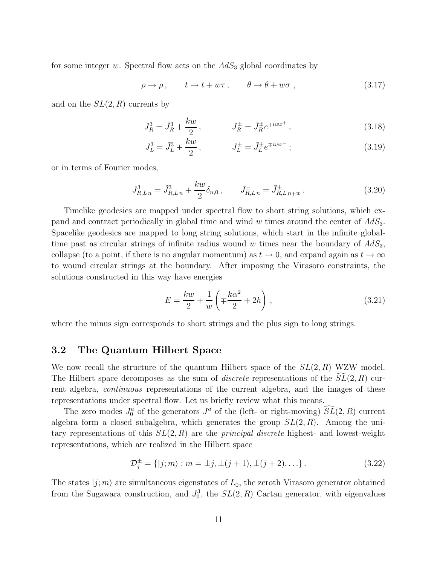for some integer w. Spectral flow acts on the  $AdS_3$  global coordinates by

$$
\rho \to \rho \,, \qquad t \to t + w\tau \,, \qquad \theta \to \theta + w\sigma \,, \tag{3.17}
$$

and on the  $SL(2, R)$  currents by

$$
J_R^3 = \tilde{J}_R^3 + \frac{kw}{2}, \qquad J_R^{\pm} = \tilde{J}_R^{\pm} e^{\mp iwx^+}, \qquad (3.18)
$$

$$
J_L^3 = \tilde{J}_L^3 + \frac{kw}{2}, \qquad J_L^{\pm} = \tilde{J}_L^{\pm} e^{\mp iwx^{-}}; \qquad (3.19)
$$

or in terms of Fourier modes,

$$
J_{R,Ln}^3 = \tilde{J}_{R,Ln}^3 + \frac{k w}{2} \delta_{n,0} , \qquad J_{R,Ln}^{\pm} = \tilde{J}_{R,Ln \mp w}^{\pm} .
$$
 (3.20)

Timelike geodesics are mapped under spectral flow to short string solutions, which expand and contract periodically in global time and wind w times around the center of  $AdS_3$ . Spacelike geodesics are mapped to long string solutions, which start in the infinite globaltime past as circular strings of infinite radius wound w times near the boundary of  $AdS_3$ , collapse (to a point, if there is no angular momentum) as  $t \to 0$ , and expand again as  $t \to \infty$ to wound circular strings at the boundary. After imposing the Virasoro constraints, the solutions constructed in this way have energies

$$
E = \frac{kw}{2} + \frac{1}{w} \left( \mp \frac{k\alpha^2}{2} + 2h \right),\tag{3.21}
$$

where the minus sign corresponds to short strings and the plus sign to long strings.

### 3.2 The Quantum Hilbert Space

We now recall the structure of the quantum Hilbert space of the  $SL(2, R)$  WZW model. The Hilbert space decomposes as the sum of *discrete* representations of the  $SL(2, R)$  current algebra, continuous representations of the current algebra, and the images of these representations under spectral flow. Let us briefly review what this means.

The zero modes  $J_0^a$  of the generators  $J^a$  of the (left- or right-moving)  $\widetilde{SL}(2,R)$  current algebra form a closed subalgebra, which generates the group  $SL(2, R)$ . Among the unitary representations of this  $SL(2, R)$  are the *principal discrete* highest- and lowest-weight representations, which are realized in the Hilbert space

$$
\mathcal{D}_j^{\pm} = \{ |j; m \rangle : m = \pm j, \pm (j+1), \pm (j+2), \ldots \}.
$$
 (3.22)

The states  $|i; m\rangle$  are simultaneous eigenstates of  $L_0$ , the zeroth Virasoro generator obtained from the Sugawara construction, and  $J_0^3$ , the  $SL(2, R)$  Cartan generator, with eigenvalues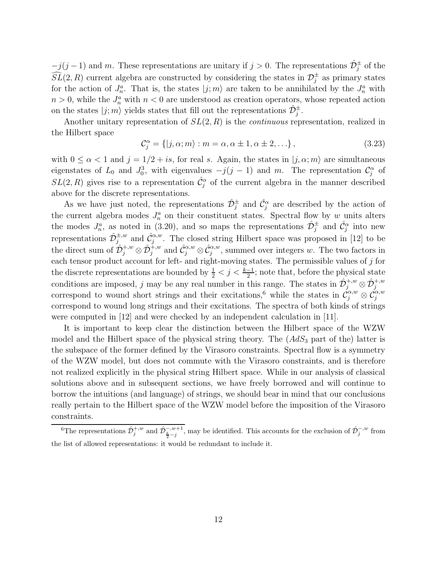$-j(j-1)$  and m. These representations are unitary if  $j > 0$ . The representations  $\hat{\mathcal{D}}^{\pm}_{j}$  of the  $\widehat{SL}(2,R)$  current algebra are constructed by considering the states in  $\mathcal{D}^{\pm}_{j}$  as primary states for the action of  $J_n^a$ . That is, the states  $|j; m\rangle$  are taken to be annihilated by the  $J_n^a$  with  $n > 0$ , while the  $J_n^a$  with  $n < 0$  are understood as creation operators, whose repeated action on the states  $|j; m\rangle$  yields states that fill out the representations  $\hat{\mathcal{D}}_j^{\pm}$ .

Another unitary representation of  $SL(2, R)$  is the *continuous* representation, realized in the Hilbert space

$$
\mathcal{C}_{j}^{\alpha} = \{ |j, \alpha; m \rangle : m = \alpha, \alpha \pm 1, \alpha \pm 2, \ldots \},
$$
\n(3.23)

with  $0 \le \alpha < 1$  and  $j = 1/2 + is$ , for real s. Again, the states in  $|j, \alpha; m\rangle$  are simultaneous eigenstates of  $L_0$  and  $J_0^3$ , with eigenvalues  $-j(j-1)$  and m. The representation  $\mathcal{C}_j^{\alpha}$  of  $SL(2, R)$  gives rise to a representation  $\hat{\mathcal{C}}_j^{\alpha}$  of the current algebra in the manner described above for the discrete representations.

As we have just noted, the representations  $\hat{\mathcal{D}}_j^{\pm}$  and  $\hat{\mathcal{C}}_j^{\alpha}$  are described by the action of the current algebra modes  $J_n^a$  on their constituent states. Spectral flow by w units alters the modes  $J_n^a$ , as noted in (3.20), and so maps the representations  $\hat{\mathcal{D}}_j^{\pm}$  and  $\hat{\mathcal{C}}_j^{\alpha}$  into new representations  $\hat{\mathcal{D}}_{j}^{\pm,w}$  and  $\hat{\mathcal{C}}_{j}^{\alpha,w}$ . The closed string Hilbert space was proposed in [12] to be the direct sum of  $\hat{\mathcal{D}}_j^{+,w} \otimes \hat{\mathcal{D}}_j^{+,w}$  and  $\hat{\mathcal{C}}_j^{\alpha,w} \otimes \hat{\mathcal{C}}_j^{\alpha,w}$ , summed over integers w. The two factors in each tensor product account for left- and right-moving states. The permissible values of  $j$  for the discrete representations are bounded by  $\frac{1}{2} < j < \frac{k-1}{2}$ ; note that, before the physical state conditions are imposed, j may be any real number in this range. The states in  $\hat{\mathcal{D}}_j^{+,w} \otimes \hat{\mathcal{D}}_j^{+,w}$ correspond to wound short strings and their excitations,<sup>6</sup> while the states in  $\check{C}^{\alpha,w}_{j} \otimes \check{C}^{\alpha,w}_{j}$ correspond to wound long strings and their excitations. The spectra of both kinds of strings were computed in [12] and were checked by an independent calculation in [11].

It is important to keep clear the distinction between the Hilbert space of the WZW model and the Hilbert space of the physical string theory. The  $(AdS<sub>3</sub>$  part of the) latter is the subspace of the former defined by the Virasoro constraints. Spectral flow is a symmetry of the WZW model, but does not commute with the Virasoro constraints, and is therefore not realized explicitly in the physical string Hilbert space. While in our analysis of classical solutions above and in subsequent sections, we have freely borrowed and will continue to borrow the intuitions (and language) of strings, we should bear in mind that our conclusions really pertain to the Hilbert space of the WZW model before the imposition of the Virasoro constraints.

<sup>&</sup>lt;sup>6</sup>The representations  $\hat{\mathcal{D}}_j^{+,w}$  and  $\hat{\mathcal{D}}_{\frac{k}{2}-j}^{-,w+1}$ , may be identified. This accounts for the exclusion of  $\hat{\mathcal{D}}_j^{-,w}$  from the list of allowed representations: it would be redundant to include it.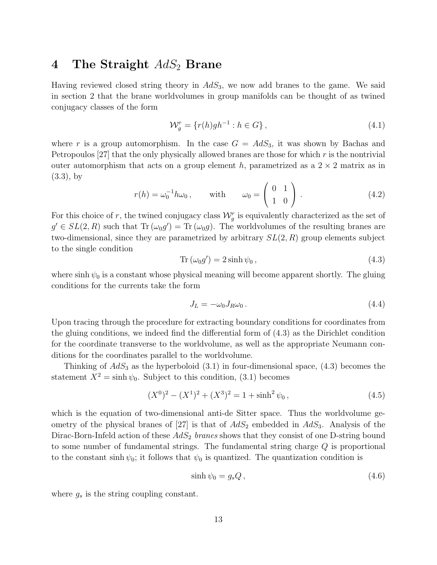## 4 The Straight  $AdS_2$  Brane

Having reviewed closed string theory in  $AdS<sub>3</sub>$ , we now add branes to the game. We said in section 2 that the brane worldvolumes in group manifolds can be thought of as twined conjugacy classes of the form

$$
\mathcal{W}_g^r = \{r(h)gh^{-1} : h \in G\},\tag{4.1}
$$

where r is a group automorphism. In the case  $G = AdS_3$ , it was shown by Bachas and Petropoulos  $[27]$  that the only physically allowed branes are those for which r is the nontrivial outer automorphism that acts on a group element h, parametrized as a  $2 \times 2$  matrix as in (3.3), by

$$
r(h) = \omega_0^{-1} h \omega_0, \quad \text{with} \quad \omega_0 = \begin{pmatrix} 0 & 1 \\ 1 & 0 \end{pmatrix} . \tag{4.2}
$$

For this choice of r, the twined conjugacy class  $\mathcal{W}_g^r$  is equivalently characterized as the set of  $g' \in SL(2, R)$  such that  $\text{Tr}(\omega_0 g') = \text{Tr}(\omega_0 g)$ . The worldvolumes of the resulting branes are two-dimensional, since they are parametrized by arbitrary  $SL(2, R)$  group elements subject to the single condition

$$
\operatorname{Tr}\left(\omega_0 g'\right) = 2\sinh\psi_0\,,\tag{4.3}
$$

where sinh  $\psi_0$  is a constant whose physical meaning will become apparent shortly. The gluing conditions for the currents take the form

$$
J_L = -\omega_0 J_R \omega_0 \,. \tag{4.4}
$$

Upon tracing through the procedure for extracting boundary conditions for coordinates from the gluing conditions, we indeed find the differential form of (4.3) as the Dirichlet condition for the coordinate transverse to the worldvolume, as well as the appropriate Neumann conditions for the coordinates parallel to the worldvolume.

Thinking of  $AdS_3$  as the hyperboloid  $(3.1)$  in four-dimensional space,  $(4.3)$  becomes the statement  $X^2 = \sinh \psi_0$ . Subject to this condition, (3.1) becomes

$$
(X0)2 - (X1)2 + (X3)2 = 1 + sinh2 \psi0,
$$
\n(4.5)

which is the equation of two-dimensional anti-de Sitter space. Thus the worldvolume geometry of the physical branes of  $[27]$  is that of  $AdS_2$  embedded in  $AdS_3$ . Analysis of the Dirac-Born-Infeld action of these  $AdS_2$  branes shows that they consist of one D-string bound to some number of fundamental strings. The fundamental string charge  $Q$  is proportional to the constant sinh  $\psi_0$ ; it follows that  $\psi_0$  is quantized. The quantization condition is

$$
\sinh \psi_0 = g_s Q \,, \tag{4.6}
$$

where  $g_s$  is the string coupling constant.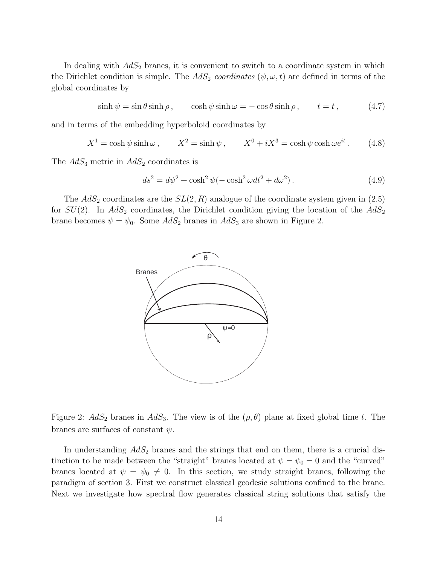In dealing with  $AdS<sub>2</sub>$  branes, it is convenient to switch to a coordinate system in which the Dirichlet condition is simple. The  $AdS_2$  coordinates  $(\psi, \omega, t)$  are defined in terms of the global coordinates by

$$
\sinh \psi = \sin \theta \sinh \rho, \qquad \cosh \psi \sinh \omega = -\cos \theta \sinh \rho, \qquad t = t, \tag{4.7}
$$

and in terms of the embedding hyperboloid coordinates by

$$
X^{1} = \cosh \psi \sinh \omega, \qquad X^{2} = \sinh \psi, \qquad X^{0} + iX^{3} = \cosh \psi \cosh \omega e^{it}. \qquad (4.8)
$$

The  $AdS_3$  metric in  $AdS_2$  coordinates is

$$
ds2 = d\psi2 + \cosh2 \psi(-\cosh2 \omega dt2 + d\omega2). \qquad (4.9)
$$

The  $AdS_2$  coordinates are the  $SL(2, R)$  analogue of the coordinate system given in (2.5) for  $SU(2)$ . In  $AdS_2$  coordinates, the Dirichlet condition giving the location of the  $AdS_2$ brane becomes  $\psi = \psi_0$ . Some  $AdS_2$  branes in  $AdS_3$  are shown in Figure 2.



Figure 2:  $AdS_2$  branes in  $AdS_3$ . The view is of the  $(\rho, \theta)$  plane at fixed global time t. The branes are surfaces of constant  $\psi$ .

In understanding  $AdS_2$  branes and the strings that end on them, there is a crucial distinction to be made between the "straight" branes located at  $\psi = \psi_0 = 0$  and the "curved" branes located at  $\psi = \psi_0 \neq 0$ . In this section, we study straight branes, following the paradigm of section 3. First we construct classical geodesic solutions confined to the brane. Next we investigate how spectral flow generates classical string solutions that satisfy the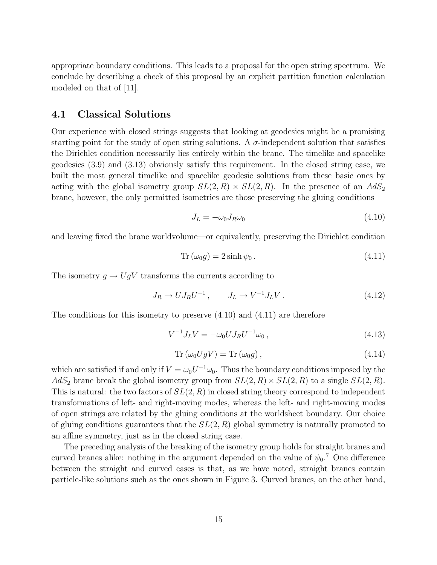appropriate boundary conditions. This leads to a proposal for the open string spectrum. We conclude by describing a check of this proposal by an explicit partition function calculation modeled on that of [11].

### 4.1 Classical Solutions

Our experience with closed strings suggests that looking at geodesics might be a promising starting point for the study of open string solutions. A  $\sigma$ -independent solution that satisfies the Dirichlet condition necessarily lies entirely within the brane. The timelike and spacelike geodesics (3.9) and (3.13) obviously satisfy this requirement. In the closed string case, we built the most general timelike and spacelike geodesic solutions from these basic ones by acting with the global isometry group  $SL(2, R) \times SL(2, R)$ . In the presence of an  $AdS_2$ brane, however, the only permitted isometries are those preserving the gluing conditions

$$
J_L = -\omega_0 J_R \omega_0 \tag{4.10}
$$

and leaving fixed the brane worldvolume—or equivalently, preserving the Dirichlet condition

$$
Tr(\omega_0 g) = 2 \sinh \psi_0.
$$
\n(4.11)

The isometry  $g \to UgV$  transforms the currents according to

$$
J_R \to U J_R U^{-1} , \qquad J_L \to V^{-1} J_L V . \tag{4.12}
$$

The conditions for this isometry to preserve  $(4.10)$  and  $(4.11)$  are therefore

$$
V^{-1}J_LV = -\omega_0 U J_R U^{-1} \omega_0, \qquad (4.13)
$$

$$
\operatorname{Tr}\left(\omega_{0}UgV\right) = \operatorname{Tr}\left(\omega_{0}g\right),\tag{4.14}
$$

which are satisfied if and only if  $V = \omega_0 U^{-1} \omega_0$ . Thus the boundary conditions imposed by the  $AdS_2$  brane break the global isometry group from  $SL(2, R) \times SL(2, R)$  to a single  $SL(2, R)$ . This is natural: the two factors of  $SL(2, R)$  in closed string theory correspond to independent transformations of left- and right-moving modes, whereas the left- and right-moving modes of open strings are related by the gluing conditions at the worldsheet boundary. Our choice of gluing conditions guarantees that the  $SL(2, R)$  global symmetry is naturally promoted to an affine symmetry, just as in the closed string case.

The preceding analysis of the breaking of the isometry group holds for straight branes and curved branes alike: nothing in the argument depended on the value of  $\psi_0$ <sup>7</sup>. One difference between the straight and curved cases is that, as we have noted, straight branes contain particle-like solutions such as the ones shown in Figure 3. Curved branes, on the other hand,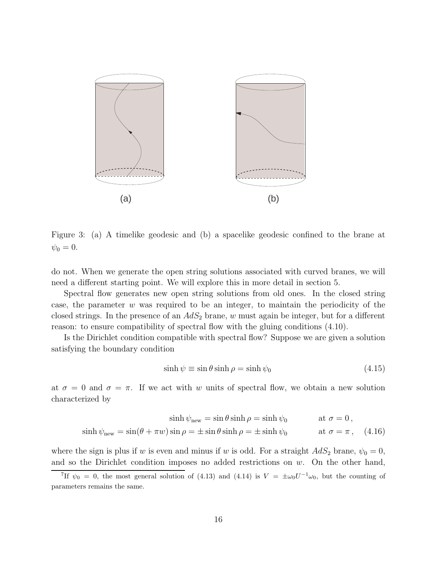

Figure 3: (a) A timelike geodesic and (b) a spacelike geodesic confined to the brane at  $\psi_0 = 0.$ 

do not. When we generate the open string solutions associated with curved branes, we will need a different starting point. We will explore this in more detail in section 5.

Spectral flow generates new open string solutions from old ones. In the closed string case, the parameter  $w$  was required to be an integer, to maintain the periodicity of the closed strings. In the presence of an  $AdS_2$  brane, w must again be integer, but for a different reason: to ensure compatibility of spectral flow with the gluing conditions (4.10).

Is the Dirichlet condition compatible with spectral flow? Suppose we are given a solution satisfying the boundary condition

$$
\sinh \psi \equiv \sin \theta \sinh \rho = \sinh \psi_0 \tag{4.15}
$$

at  $\sigma = 0$  and  $\sigma = \pi$ . If we act with w units of spectral flow, we obtain a new solution characterized by

$$
\sinh \psi_{\text{new}} = \sin \theta \sinh \rho = \sinh \psi_0 \qquad \text{at } \sigma = 0,
$$
  

$$
\sinh \psi_{\text{new}} = \sin(\theta + \pi w) \sin \rho = \pm \sin \theta \sinh \rho = \pm \sinh \psi_0 \qquad \text{at } \sigma = \pi \,, \quad (4.16)
$$

where the sign is plus if w is even and minus if w is odd. For a straight  $AdS_2$  brane,  $\psi_0 = 0$ , and so the Dirichlet condition imposes no added restrictions on  $w$ . On the other hand,

<sup>&</sup>lt;sup>7</sup>If  $\psi_0 = 0$ , the most general solution of (4.13) and (4.14) is  $V = \pm \omega_0 U^{-1} \omega_0$ , but the counting of parameters remains the same.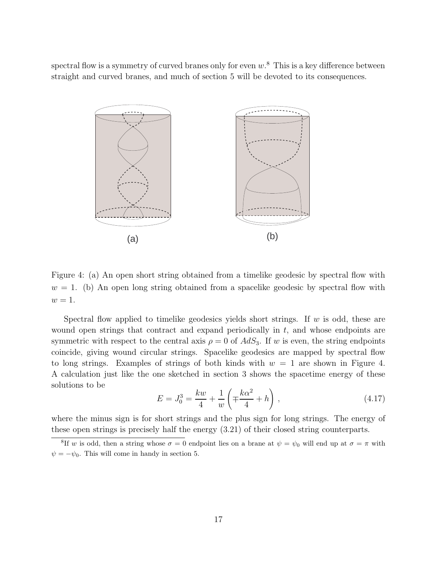spectral flow is a symmetry of curved branes only for even  $w$ .<sup>8</sup> This is a key difference between straight and curved branes, and much of section 5 will be devoted to its consequences.



Figure 4: (a) An open short string obtained from a timelike geodesic by spectral flow with  $w = 1$ . (b) An open long string obtained from a spacelike geodesic by spectral flow with  $w=1$ .

Spectral flow applied to timelike geodesics yields short strings. If  $w$  is odd, these are wound open strings that contract and expand periodically in  $t$ , and whose endpoints are symmetric with respect to the central axis  $\rho = 0$  of  $AdS_3$ . If w is even, the string endpoints coincide, giving wound circular strings. Spacelike geodesics are mapped by spectral flow to long strings. Examples of strings of both kinds with  $w = 1$  are shown in Figure 4. A calculation just like the one sketched in section 3 shows the spacetime energy of these solutions to be

$$
E = J_0^3 = \frac{kw}{4} + \frac{1}{w} \left( \mp \frac{k\alpha^2}{4} + h \right),
$$
 (4.17)

where the minus sign is for short strings and the plus sign for long strings. The energy of these open strings is precisely half the energy (3.21) of their closed string counterparts.

<sup>&</sup>lt;sup>8</sup>If w is odd, then a string whose  $\sigma = 0$  endpoint lies on a brane at  $\psi = \psi_0$  will end up at  $\sigma = \pi$  with  $\psi = -\psi_0$ . This will come in handy in section 5.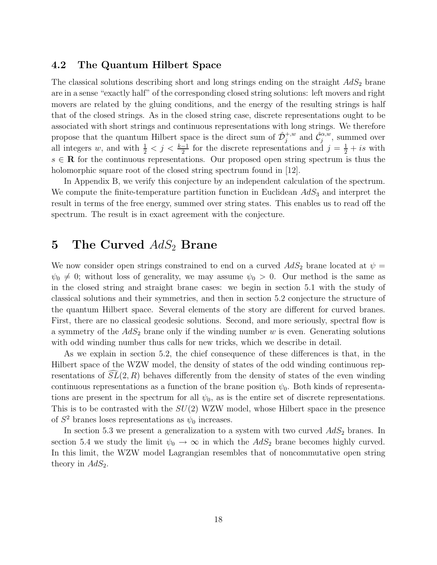### 4.2 The Quantum Hilbert Space

The classical solutions describing short and long strings ending on the straight  $AdS<sub>2</sub>$  brane are in a sense "exactly half" of the corresponding closed string solutions: left movers and right movers are related by the gluing conditions, and the energy of the resulting strings is half that of the closed strings. As in the closed string case, discrete representations ought to be associated with short strings and continuous representations with long strings. We therefore propose that the quantum Hilbert space is the direct sum of  $\hat{\mathcal{D}}_j^{+,w}$  and  $\hat{\mathcal{C}}_j^{\alpha,w}$ , summed over all integers w, and with  $\frac{1}{2} < j < \frac{k-1}{2}$  for the discrete representations and  $j = \frac{1}{2} + is$  with  $s \in \mathbb{R}$  for the continuous representations. Our proposed open string spectrum is thus the holomorphic square root of the closed string spectrum found in [12].

In Appendix B, we verify this conjecture by an independent calculation of the spectrum. We compute the finite-temperature partition function in Euclidean  $AdS<sub>3</sub>$  and interpret the result in terms of the free energy, summed over string states. This enables us to read off the spectrum. The result is in exact agreement with the conjecture.

# 5 The Curved  $AdS_2$  Brane

We now consider open strings constrained to end on a curved  $AdS_2$  brane located at  $\psi =$  $\psi_0 \neq 0$ ; without loss of generality, we may assume  $\psi_0 > 0$ . Our method is the same as in the closed string and straight brane cases: we begin in section 5.1 with the study of classical solutions and their symmetries, and then in section 5.2 conjecture the structure of the quantum Hilbert space. Several elements of the story are different for curved branes. First, there are no classical geodesic solutions. Second, and more seriously, spectral flow is a symmetry of the  $AdS_2$  brane only if the winding number w is even. Generating solutions with odd winding number thus calls for new tricks, which we describe in detail.

As we explain in section 5.2, the chief consequence of these differences is that, in the Hilbert space of the WZW model, the density of states of the odd winding continuous representations of  $\overline{SL}(2, R)$  behaves differently from the density of states of the even winding continuous representations as a function of the brane position  $\psi_0$ . Both kinds of representations are present in the spectrum for all  $\psi_0$ , as is the entire set of discrete representations. This is to be contrasted with the  $SU(2)$  WZW model, whose Hilbert space in the presence of  $S^2$  branes loses representations as  $\psi_0$  increases.

In section 5.3 we present a generalization to a system with two curved  $AdS_2$  branes. In section 5.4 we study the limit  $\psi_0 \to \infty$  in which the  $AdS_2$  brane becomes highly curved. In this limit, the WZW model Lagrangian resembles that of noncommutative open string theory in  $AdS_2$ .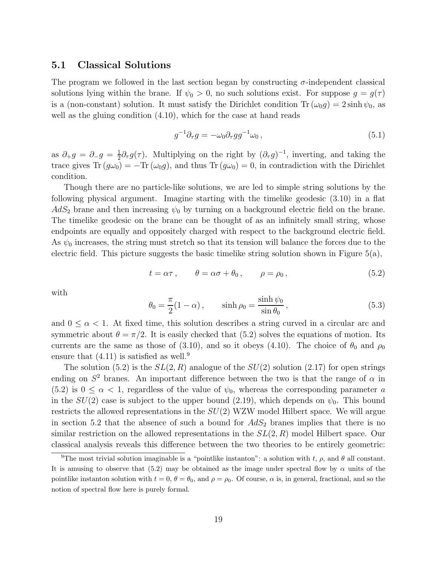### 5.1 Classical Solutions

The program we followed in the last section began by constructing  $\sigma$ -independent classical solutions lying within the brane. If  $\psi_0 > 0$ , no such solutions exist. For suppose  $g = g(\tau)$ is a (non-constant) solution. It must satisfy the Dirichlet condition  $\text{Tr}(\omega_0 g) = 2 \sinh \psi_0$ , as well as the gluing condition  $(4.10)$ , which for the case at hand reads

$$
g^{-1}\partial_{\tau}g = -\omega_0 \partial_{\tau}gg^{-1}\omega_0, \qquad (5.1)
$$

as  $\partial_{+}g = \partial_{-}g = \frac{1}{2}$  $\frac{1}{2}\partial_{\tau}g(\tau)$ . Multiplying on the right by  $(\partial_{\tau}g)^{-1}$ , inverting, and taking the trace gives  $\text{Tr} (g\omega_0) = -\text{Tr} (\omega_0 g)$ , and thus  $\text{Tr} (g\omega_0) = 0$ , in contradiction with the Dirichlet condition.

Though there are no particle-like solutions, we are led to simple string solutions by the following physical argument. Imagine starting with the timelike geodesic (3.10) in a flat  $AdS_2$  brane and then increasing  $\psi_0$  by turning on a background electric field on the brane. The timelike geodesic on the brane can be thought of as an infinitely small string, whose endpoints are equally and oppositely charged with respect to the background electric field. As  $\psi_0$  increases, the string must stretch so that its tension will balance the forces due to the electric field. This picture suggests the basic timelike string solution shown in Figure  $5(a)$ ,

$$
t = \alpha \tau, \qquad \theta = \alpha \sigma + \theta_0, \qquad \rho = \rho_0, \tag{5.2}
$$

with

$$
\theta_0 = \frac{\pi}{2}(1 - \alpha), \qquad \sinh \rho_0 = \frac{\sinh \psi_0}{\sin \theta_0}, \qquad (5.3)
$$

and  $0 \leq \alpha < 1$ . At fixed time, this solution describes a string curved in a circular arc and symmetric about  $\theta = \pi/2$ . It is easily checked that (5.2) solves the equations of motion. Its currents are the same as those of (3.10), and so it obeys (4.10). The choice of  $\theta_0$  and  $\rho_0$ ensure that  $(4.11)$  is satisfied as well.<sup>9</sup>

The solution  $(5.2)$  is the  $SL(2, R)$  analogue of the  $SU(2)$  solution  $(2.17)$  for open strings ending on  $S^2$  branes. An important difference between the two is that the range of  $\alpha$  in  $(5.2)$  is  $0 \le \alpha < 1$ , regardless of the value of  $\psi_0$ , whereas the corresponding parameter a in the  $SU(2)$  case is subject to the upper bound (2.19), which depends on  $\psi_0$ . This bound restricts the allowed representations in the  $SU(2)$  WZW model Hilbert space. We will argue in section 5.2 that the absence of such a bound for  $AdS_2$  branes implies that there is no similar restriction on the allowed representations in the  $SL(2, R)$  model Hilbert space. Our classical analysis reveals this difference between the two theories to be entirely geometric:

<sup>&</sup>lt;sup>9</sup>The most trivial solution imaginable is a "pointlike instanton": a solution with t,  $\rho$ , and  $\theta$  all constant. It is amusing to observe that (5.2) may be obtained as the image under spectral flow by  $\alpha$  units of the pointlike instanton solution with  $t = 0$ ,  $\theta = \theta_0$ , and  $\rho = \rho_0$ . Of course,  $\alpha$  is, in general, fractional, and so the notion of spectral flow here is purely formal.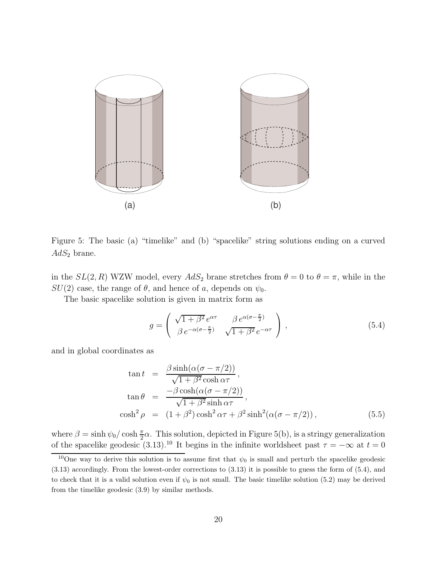

Figure 5: The basic (a) "timelike" and (b) "spacelike" string solutions ending on a curved  $AdS_2$  brane.

in the  $SL(2, R)$  WZW model, every  $AdS_2$  brane stretches from  $\theta = 0$  to  $\theta = \pi$ , while in the  $SU(2)$  case, the range of  $\theta$ , and hence of a, depends on  $\psi_0$ .

The basic spacelike solution is given in matrix form as

$$
g = \begin{pmatrix} \sqrt{1+\beta^2} e^{\alpha \tau} & \beta e^{\alpha(\sigma - \frac{\pi}{2})} \\ \beta e^{-\alpha(\sigma - \frac{\pi}{2})} & \sqrt{1+\beta^2} e^{-\alpha \tau} \end{pmatrix},
$$
(5.4)

and in global coordinates as

$$
\tan t = \frac{\beta \sinh(\alpha(\sigma - \pi/2))}{\sqrt{1 + \beta^2} \cosh \alpha \tau},
$$
  
\n
$$
\tan \theta = \frac{-\beta \cosh(\alpha(\sigma - \pi/2))}{\sqrt{1 + \beta^2} \sinh \alpha \tau},
$$
  
\n
$$
\cosh^2 \rho = (1 + \beta^2) \cosh^2 \alpha \tau + \beta^2 \sinh^2(\alpha(\sigma - \pi/2)),
$$
\n(5.5)

where  $\beta = \sinh \psi_0 / \cosh \frac{\pi}{2} \alpha$ . This solution, depicted in Figure 5(b), is a stringy generalization of the spacelike geodesic (3.13).<sup>10</sup> It begins in the infinite worldsheet past  $\tau = -\infty$  at  $t = 0$ 

<sup>&</sup>lt;sup>10</sup>One way to derive this solution is to assume first that  $\psi_0$  is small and perturb the spacelike geodesic (3.13) accordingly. From the lowest-order corrections to (3.13) it is possible to guess the form of (5.4), and to check that it is a valid solution even if  $\psi_0$  is not small. The basic timelike solution (5.2) may be derived from the timelike geodesic (3.9) by similar methods.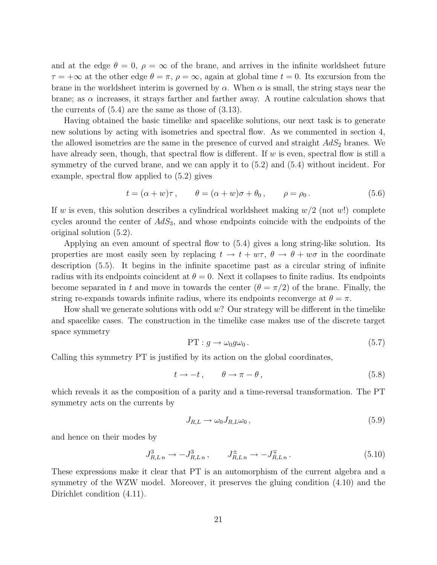and at the edge  $\theta = 0$ ,  $\rho = \infty$  of the brane, and arrives in the infinite worldsheet future  $\tau = +\infty$  at the other edge  $\theta = \pi$ ,  $\rho = \infty$ , again at global time  $t = 0$ . Its excursion from the brane in the worldsheet interim is governed by  $\alpha$ . When  $\alpha$  is small, the string stays near the brane; as  $\alpha$  increases, it strays farther and farther away. A routine calculation shows that the currents of (5.4) are the same as those of (3.13).

Having obtained the basic timelike and spacelike solutions, our next task is to generate new solutions by acting with isometries and spectral flow. As we commented in section 4, the allowed isometries are the same in the presence of curved and straight  $AdS_2$  branes. We have already seen, though, that spectral flow is different. If w is even, spectral flow is still a symmetry of the curved brane, and we can apply it to (5.2) and (5.4) without incident. For example, spectral flow applied to (5.2) gives

$$
t = (\alpha + w)\tau, \qquad \theta = (\alpha + w)\sigma + \theta_0, \qquad \rho = \rho_0.
$$
 (5.6)

If w is even, this solution describes a cylindrical worldsheet making  $w/2$  (not w!) complete cycles around the center of  $AdS_3$ , and whose endpoints coincide with the endpoints of the original solution (5.2).

Applying an even amount of spectral flow to (5.4) gives a long string-like solution. Its properties are most easily seen by replacing  $t \to t + w\tau$ ,  $\theta \to \theta + w\sigma$  in the coordinate description (5.5). It begins in the infinite spacetime past as a circular string of infinite radius with its endpoints coincident at  $\theta = 0$ . Next it collapses to finite radius. Its endpoints become separated in t and move in towards the center  $(\theta = \pi/2)$  of the brane. Finally, the string re-expands towards infinite radius, where its endpoints reconverge at  $\theta = \pi$ .

How shall we generate solutions with odd  $w$ ? Our strategy will be different in the timelike and spacelike cases. The construction in the timelike case makes use of the discrete target space symmetry

$$
PT: g \to \omega_0 g \omega_0. \tag{5.7}
$$

Calling this symmetry PT is justified by its action on the global coordinates,

$$
t \to -t, \qquad \theta \to \pi - \theta, \tag{5.8}
$$

which reveals it as the composition of a parity and a time-reversal transformation. The PT symmetry acts on the currents by

$$
J_{R,L} \to \omega_0 J_{R,L} \omega_0 ,\qquad (5.9)
$$

and hence on their modes by

$$
J_{R,Ln}^3 \to -J_{R,Ln}^3 \,, \qquad J_{R,Ln}^{\pm} \to -J_{R,Ln}^{\mp} \,. \tag{5.10}
$$

These expressions make it clear that PT is an automorphism of the current algebra and a symmetry of the WZW model. Moreover, it preserves the gluing condition (4.10) and the Dirichlet condition  $(4.11)$ .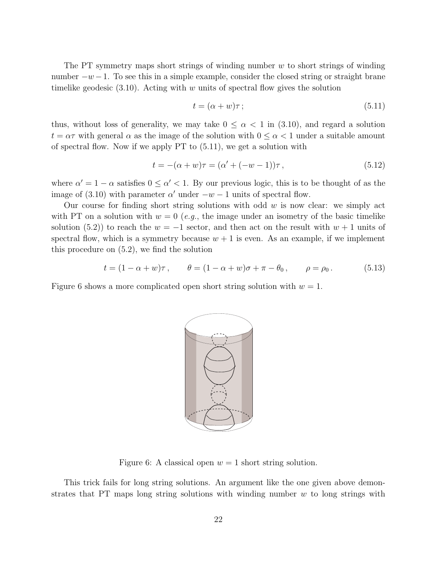The PT symmetry maps short strings of winding number  $w$  to short strings of winding number  $-w-1$ . To see this in a simple example, consider the closed string or straight brane timelike geodesic  $(3.10)$ . Acting with w units of spectral flow gives the solution

$$
t = (\alpha + w)\tau \tag{5.11}
$$

thus, without loss of generality, we may take  $0 \leq \alpha < 1$  in  $(3.10)$ , and regard a solution  $t = \alpha \tau$  with general  $\alpha$  as the image of the solution with  $0 \leq \alpha < 1$  under a suitable amount of spectral flow. Now if we apply PT to (5.11), we get a solution with

$$
t = -(\alpha + w)\tau = (\alpha' + (-w - 1))\tau, \qquad (5.12)
$$

where  $\alpha' = 1 - \alpha$  satisfies  $0 \leq \alpha' < 1$ . By our previous logic, this is to be thought of as the image of (3.10) with parameter  $\alpha'$  under  $-w-1$  units of spectral flow.

Our course for finding short string solutions with odd  $w$  is now clear: we simply act with PT on a solution with  $w = 0$  (e.g., the image under an isometry of the basic timelike solution (5.2)) to reach the  $w = -1$  sector, and then act on the result with  $w + 1$  units of spectral flow, which is a symmetry because  $w + 1$  is even. As an example, if we implement this procedure on (5.2), we find the solution

$$
t = (1 - \alpha + w)\tau
$$
,  $\theta = (1 - \alpha + w)\sigma + \pi - \theta_0$ ,  $\rho = \rho_0$ . (5.13)

Figure 6 shows a more complicated open short string solution with  $w = 1$ .



Figure 6: A classical open  $w = 1$  short string solution.

This trick fails for long string solutions. An argument like the one given above demonstrates that PT maps long string solutions with winding number  $w$  to long strings with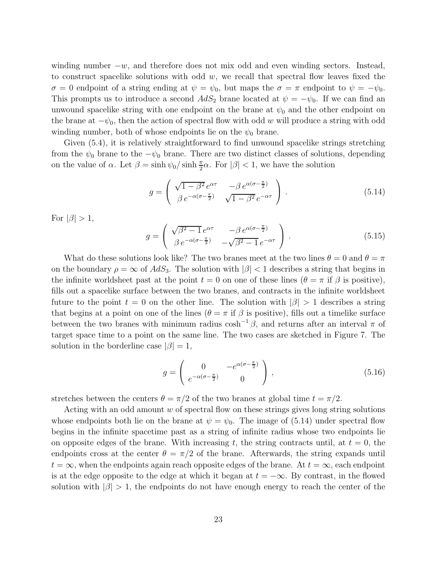winding number  $-w$ , and therefore does not mix odd and even winding sectors. Instead, to construct spacelike solutions with odd  $w$ , we recall that spectral flow leaves fixed the  $\sigma = 0$  endpoint of a string ending at  $\psi = \psi_0$ , but maps the  $\sigma = \pi$  endpoint to  $\psi = -\psi_0$ . This prompts us to introduce a second  $AdS_2$  brane located at  $\psi = -\psi_0$ . If we can find an unwound spacelike string with one endpoint on the brane at  $\psi_0$  and the other endpoint on the brane at  $-\psi_0$ , then the action of spectral flow with odd w will produce a string with odd winding number, both of whose endpoints lie on the  $\psi_0$  brane.

Given (5.4), it is relatively straightforward to find unwound spacelike strings stretching from the  $\psi_0$  brane to the  $-\psi_0$  brane. There are two distinct classes of solutions, depending on the value of  $\alpha$ . Let  $\beta = \sinh \psi_0 / \sinh \frac{\pi}{2} \alpha$ . For  $|\beta| < 1$ , we have the solution

$$
g = \begin{pmatrix} \sqrt{1 - \beta^2} e^{\alpha \tau} & -\beta e^{\alpha (\sigma - \frac{\pi}{2})} \\ \beta e^{-\alpha (\sigma - \frac{\pi}{2})} & \sqrt{1 - \beta^2} e^{-\alpha \tau} \end{pmatrix} .
$$
 (5.14)

For  $|\beta| > 1$ ,

$$
g = \begin{pmatrix} \sqrt{\beta^2 - 1} e^{\alpha \tau} & -\beta e^{\alpha (\sigma - \frac{\pi}{2})} \\ \beta e^{-\alpha (\sigma - \frac{\pi}{2})} & -\sqrt{\beta^2 - 1} e^{-\alpha \tau} \end{pmatrix} .
$$
 (5.15)

What do these solutions look like? The two branes meet at the two lines  $\theta = 0$  and  $\theta = \pi$ on the boundary  $\rho = \infty$  of  $AdS_3$ . The solution with  $|\beta| < 1$  describes a string that begins in the infinite worldsheet past at the point  $t = 0$  on one of these lines  $(\theta = \pi \text{ if } \beta \text{ is positive})$ , fills out a spacelike surface between the two branes, and contracts in the infinite worldsheet future to the point  $t = 0$  on the other line. The solution with  $|\beta| > 1$  describes a string that begins at a point on one of the lines ( $\theta = \pi$  if  $\beta$  is positive), fills out a timelike surface between the two branes with minimum radius  $\cosh^{-1}\beta$ , and returns after an interval  $\pi$  of target space time to a point on the same line. The two cases are sketched in Figure 7. The solution in the borderline case  $|\beta|=1$ ,

$$
g = \begin{pmatrix} 0 & -e^{\alpha(\sigma - \frac{\pi}{2})} \\ e^{-\alpha(\sigma - \frac{\pi}{2})} & 0 \end{pmatrix},\tag{5.16}
$$

stretches between the centers  $\theta = \pi/2$  of the two branes at global time  $t = \pi/2$ .

Acting with an odd amount w of spectral flow on these strings gives long string solutions whose endpoints both lie on the brane at  $\psi = \psi_0$ . The image of (5.14) under spectral flow begins in the infinite spacetime past as a string of infinite radius whose two endpoints lie on opposite edges of the brane. With increasing t, the string contracts until, at  $t = 0$ , the endpoints cross at the center  $\theta = \pi/2$  of the brane. Afterwards, the string expands until  $t = \infty$ , when the endpoints again reach opposite edges of the brane. At  $t = \infty$ , each endpoint is at the edge opposite to the edge at which it began at  $t = -\infty$ . By contrast, in the flowed solution with  $|\beta| > 1$ , the endpoints do not have enough energy to reach the center of the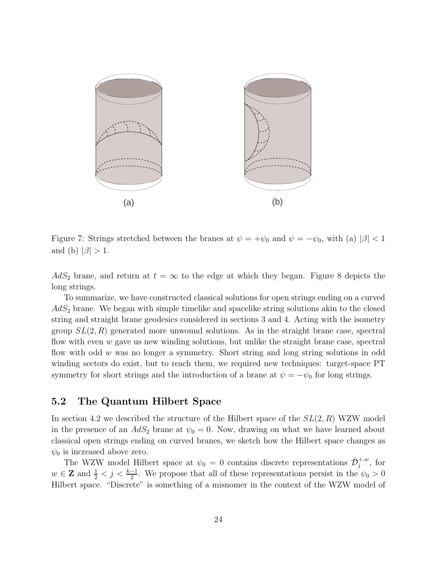

Figure 7: Strings stretched between the branes at  $\psi = +\psi_0$  and  $\psi = -\psi_0$ , with (a)  $|\beta| < 1$ and (b)  $|\beta| > 1$ .

 $AdS_2$  brane, and return at  $t = \infty$  to the edge at which they began. Figure 8 depicts the long strings.

To summarize, we have constructed classical solutions for open strings ending on a curved  $AdS<sub>2</sub>$  brane. We began with simple timelike and spacelike string solutions akin to the closed string and straight brane geodesics considered in sections 3 and 4. Acting with the isometry group  $SL(2, R)$  generated more unwound solutions. As in the straight brane case, spectral flow with even  $w$  gave us new winding solutions, but unlike the straight brane case, spectral flow with odd w was no longer a symmetry. Short string and long string solutions in odd winding sectors do exist, but to reach them, we required new techniques: target-space PT symmetry for short strings and the introduction of a brane at  $\psi = -\psi_0$  for long strings.

### 5.2 The Quantum Hilbert Space

In section 4.2 we described the structure of the Hilbert space of the  $SL(2, R)$  WZW model in the presence of an  $AdS_2$  brane at  $\psi_0 = 0$ . Now, drawing on what we have learned about classical open strings ending on curved branes, we sketch how the Hilbert space changes as  $\psi_0$  is increased above zero.

The WZW model Hilbert space at  $\psi_0 = 0$  contains discrete representations  $\hat{\mathcal{D}}_j^{+,w}$ , for  $w \in \mathbf{Z}$  and  $\frac{1}{2} < j < \frac{k-1}{2}$ . We propose that all of these representations persist in the  $\psi_0 > 0$ Hilbert space. "Discrete" is something of a misnomer in the context of the WZW model of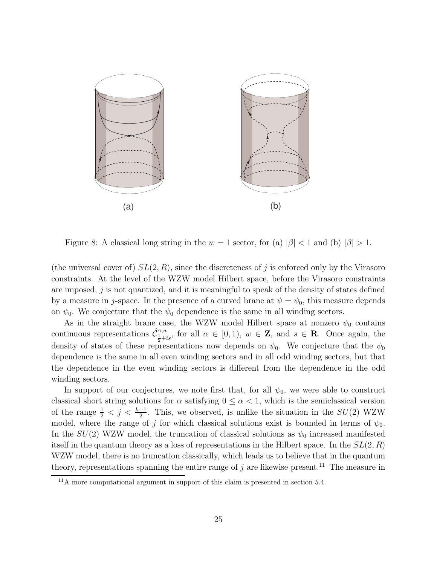

Figure 8: A classical long string in the  $w = 1$  sector, for (a)  $|\beta| < 1$  and (b)  $|\beta| > 1$ .

(the universal cover of)  $SL(2, R)$ , since the discreteness of j is enforced only by the Virasoro constraints. At the level of the WZW model Hilbert space, before the Virasoro constraints are imposed, j is not quantized, and it is meaningful to speak of the density of states defined by a measure in j-space. In the presence of a curved brane at  $\psi = \psi_0$ , this measure depends on  $\psi_0$ . We conjecture that the  $\psi_0$  dependence is the same in all winding sectors.

As in the straight brane case, the WZW model Hilbert space at nonzero  $\psi_0$  contains continuous representations  $\hat{\mathcal{C}}_{\frac{1}{2}+is}^{\alpha,w}$ , for all  $\alpha \in [0,1)$ ,  $w \in \mathbb{Z}$ , and  $s \in \mathbb{R}$ . Once again, the density of states of these representations now depends on  $\psi_0$ . We conjecture that the  $\psi_0$ dependence is the same in all even winding sectors and in all odd winding sectors, but that the dependence in the even winding sectors is different from the dependence in the odd winding sectors.

In support of our conjectures, we note first that, for all  $\psi_0$ , we were able to construct classical short string solutions for  $\alpha$  satisfying  $0 \leq \alpha < 1$ , which is the semiclassical version of the range  $\frac{1}{2} < j < \frac{k-1}{2}$ . This, we observed, is unlike the situation in the  $SU(2)$  WZW model, where the range of j for which classical solutions exist is bounded in terms of  $\psi_0$ . In the  $SU(2)$  WZW model, the truncation of classical solutions as  $\psi_0$  increased manifested itself in the quantum theory as a loss of representations in the Hilbert space. In the  $SL(2, R)$ WZW model, there is no truncation classically, which leads us to believe that in the quantum theory, representations spanning the entire range of  $j$  are likewise present.<sup>11</sup> The measure in

<sup>&</sup>lt;sup>11</sup>A more computational argument in support of this claim is presented in section 5.4.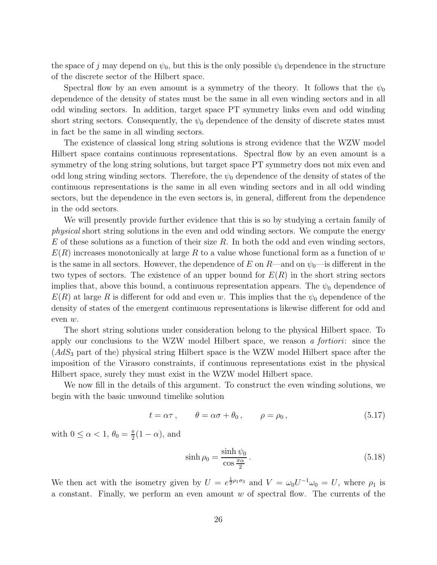the space of j may depend on  $\psi_0$ , but this is the only possible  $\psi_0$  dependence in the structure of the discrete sector of the Hilbert space.

Spectral flow by an even amount is a symmetry of the theory. It follows that the  $\psi_0$ dependence of the density of states must be the same in all even winding sectors and in all odd winding sectors. In addition, target space PT symmetry links even and odd winding short string sectors. Consequently, the  $\psi_0$  dependence of the density of discrete states must in fact be the same in all winding sectors.

The existence of classical long string solutions is strong evidence that the WZW model Hilbert space contains continuous representations. Spectral flow by an even amount is a symmetry of the long string solutions, but target space PT symmetry does not mix even and odd long string winding sectors. Therefore, the  $\psi_0$  dependence of the density of states of the continuous representations is the same in all even winding sectors and in all odd winding sectors, but the dependence in the even sectors is, in general, different from the dependence in the odd sectors.

We will presently provide further evidence that this is so by studying a certain family of physical short string solutions in the even and odd winding sectors. We compute the energy  $E$  of these solutions as a function of their size  $R$ . In both the odd and even winding sectors,  $E(R)$  increases monotonically at large R to a value whose functional form as a function of w is the same in all sectors. However, the dependence of E on R—and on  $\psi_0$ —is different in the two types of sectors. The existence of an upper bound for  $E(R)$  in the short string sectors implies that, above this bound, a continuous representation appears. The  $\psi_0$  dependence of  $E(R)$  at large R is different for odd and even w. This implies that the  $\psi_0$  dependence of the density of states of the emergent continuous representations is likewise different for odd and even w.

The short string solutions under consideration belong to the physical Hilbert space. To apply our conclusions to the WZW model Hilbert space, we reason a fortiori: since the  $(AdS<sub>3</sub>$  part of the) physical string Hilbert space is the WZW model Hilbert space after the imposition of the Virasoro constraints, if continuous representations exist in the physical Hilbert space, surely they must exist in the WZW model Hilbert space.

We now fill in the details of this argument. To construct the even winding solutions, we begin with the basic unwound timelike solution

$$
t = \alpha \tau, \qquad \theta = \alpha \sigma + \theta_0, \qquad \rho = \rho_0, \tag{5.17}
$$

with  $0 \leq \alpha < 1, \theta_0 = \frac{\pi}{2}$  $\frac{\pi}{2}(1-\alpha)$ , and

$$
\sinh \rho_0 = \frac{\sinh \psi_0}{\cos \frac{\pi \alpha}{2}}.
$$
\n(5.18)

We then act with the isometry given by  $U = e^{\frac{1}{2}\rho_1 \sigma_3}$  and  $V = \omega_0 U^{-1} \omega_0 = U$ , where  $\rho_1$  is a constant. Finally, we perform an even amount  $w$  of spectral flow. The currents of the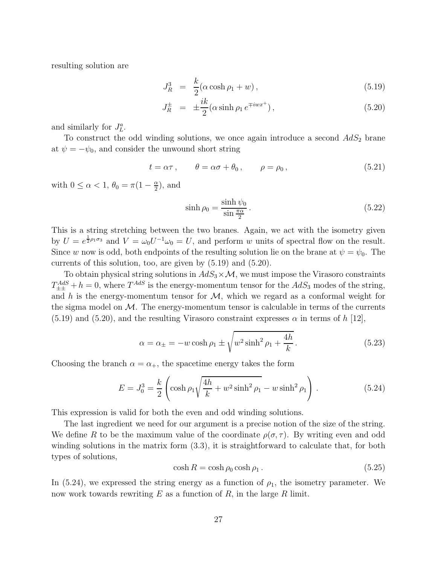resulting solution are

$$
J_R^3 = \frac{k}{2} (\alpha \cosh \rho_1 + w), \qquad (5.19)
$$

$$
J_R^{\pm} = \pm \frac{ik}{2} (\alpha \sinh \rho_1 e^{\mp iwx^+}), \qquad (5.20)
$$

and similarly for  $J_L^a$ .

To construct the odd winding solutions, we once again introduce a second  $AdS_2$  brane at  $\psi = -\psi_0$ , and consider the unwound short string

$$
t = \alpha \tau, \qquad \theta = \alpha \sigma + \theta_0, \qquad \rho = \rho_0, \tag{5.21}
$$

with  $0 \le \alpha < 1$ ,  $\theta_0 = \pi(1 - \frac{\alpha}{2})$  $\frac{\alpha}{2}$ , and

$$
\sinh \rho_0 = \frac{\sinh \psi_0}{\sin \frac{\pi \alpha}{2}}.
$$
\n(5.22)

This is a string stretching between the two branes. Again, we act with the isometry given by  $U = e^{\frac{1}{2}\rho_1\sigma_3}$  and  $V = \omega_0 U^{-1}\omega_0 = U$ , and perform w units of spectral flow on the result. Since w now is odd, both endpoints of the resulting solution lie on the brane at  $\psi = \psi_0$ . The currents of this solution, too, are given by (5.19) and (5.20).

To obtain physical string solutions in  $AdS_3 \times M$ , we must impose the Virasoro constraints  $T_{\pm\pm}^{AdS} + h = 0$ , where  $T^{AdS}$  is the energy-momentum tensor for the  $AdS_3$  modes of the string, and h is the energy-momentum tensor for  $\mathcal{M}$ , which we regard as a conformal weight for the sigma model on  $\mathcal{M}$ . The energy-momentum tensor is calculable in terms of the currents  $(5.19)$  and  $(5.20)$ , and the resulting Virasoro constraint expresses  $\alpha$  in terms of h [12],

$$
\alpha = \alpha_{\pm} = -w \cosh \rho_1 \pm \sqrt{w^2 \sinh^2 \rho_1 + \frac{4h}{k}}.
$$
 (5.23)

Choosing the branch  $\alpha = \alpha_+$ , the spacetime energy takes the form

$$
E = J_0^3 = \frac{k}{2} \left( \cosh \rho_1 \sqrt{\frac{4h}{k} + w^2 \sinh^2 \rho_1} - w \sinh^2 \rho_1 \right) . \tag{5.24}
$$

This expression is valid for both the even and odd winding solutions.

The last ingredient we need for our argument is a precise notion of the size of the string. We define R to be the maximum value of the coordinate  $\rho(\sigma, \tau)$ . By writing even and odd winding solutions in the matrix form (3.3), it is straightforward to calculate that, for both types of solutions,

$$
\cosh R = \cosh \rho_0 \cosh \rho_1. \tag{5.25}
$$

In (5.24), we expressed the string energy as a function of  $\rho_1$ , the isometry parameter. We now work towards rewriting  $E$  as a function of  $R$ , in the large  $R$  limit.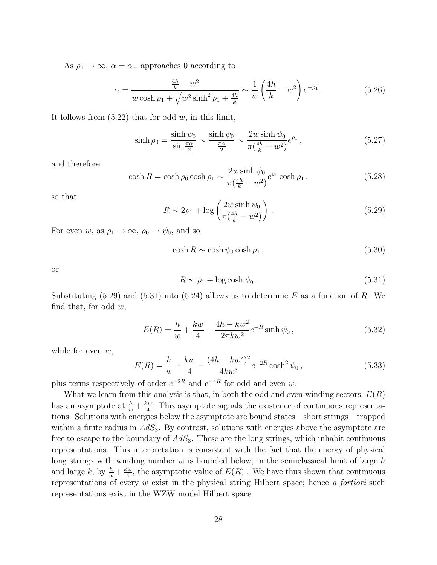As  $\rho_1 \rightarrow \infty$ ,  $\alpha = \alpha_+$  approaches 0 according to

$$
\alpha = \frac{\frac{4h}{k} - w^2}{w \cosh \rho_1 + \sqrt{w^2 \sinh^2 \rho_1 + \frac{4h}{k}}} \sim \frac{1}{w} \left(\frac{4h}{k} - w^2\right) e^{-\rho_1}.
$$
 (5.26)

It follows from  $(5.22)$  that for odd w, in this limit,

$$
\sinh \rho_0 = \frac{\sinh \psi_0}{\sin \frac{\pi \alpha}{2}} \sim \frac{\sinh \psi_0}{\frac{\pi \alpha}{2}} \sim \frac{2w \sinh \psi_0}{\pi (\frac{4h}{k} - w^2)} e^{\rho_1},\tag{5.27}
$$

and therefore

$$
\cosh R = \cosh \rho_0 \cosh \rho_1 \sim \frac{2w \sinh \psi_0}{\pi \left(\frac{4h}{k} - w^2\right)} e^{\rho_1} \cosh \rho_1 ,\qquad (5.28)
$$

so that

$$
R \sim 2\rho_1 + \log\left(\frac{2w\sinh\psi_0}{\pi(\frac{4h}{k} - w^2)}\right). \tag{5.29}
$$

For even w, as  $\rho_1 \rightarrow \infty$ ,  $\rho_0 \rightarrow \psi_0$ , and so

$$
\cosh R \sim \cosh \psi_0 \cosh \rho_1, \qquad (5.30)
$$

or

$$
R \sim \rho_1 + \log \cosh \psi_0 \,. \tag{5.31}
$$

Substituting  $(5.29)$  and  $(5.31)$  into  $(5.24)$  allows us to determine E as a function of R. We find that, for odd  $w$ ,

$$
E(R) = \frac{h}{w} + \frac{kw}{4} - \frac{4h - kw^2}{2\pi kw^2} e^{-R} \sinh \psi_0,
$$
\n(5.32)

while for even  $w$ ,

$$
E(R) = \frac{h}{w} + \frac{kw}{4} - \frac{(4h - kw^2)^2}{4kw^3} e^{-2R} \cosh^2 \psi_0,
$$
\n(5.33)

plus terms respectively of order  $e^{-2R}$  and  $e^{-4R}$  for odd and even w.

What we learn from this analysis is that, in both the odd and even winding sectors,  $E(R)$ has an asymptote at  $\frac{h}{w} + \frac{kw}{4}$  $\frac{dw}{4}$ . This asymptote signals the existence of continuous representations. Solutions with energies below the asymptote are bound states—short strings—trapped within a finite radius in  $AdS_3$ . By contrast, solutions with energies above the asymptote are free to escape to the boundary of  $AdS_3$ . These are the long strings, which inhabit continuous representations. This interpretation is consistent with the fact that the energy of physical long strings with winding number  $w$  is bounded below, in the semiclassical limit of large  $h$ and large k, by  $\frac{h}{w} + \frac{kw}{4}$  $\frac{dw}{4}$ , the asymptotic value of  $E(R)$  . We have thus shown that continuous representations of every w exist in the physical string Hilbert space; hence a fortiori such representations exist in the WZW model Hilbert space.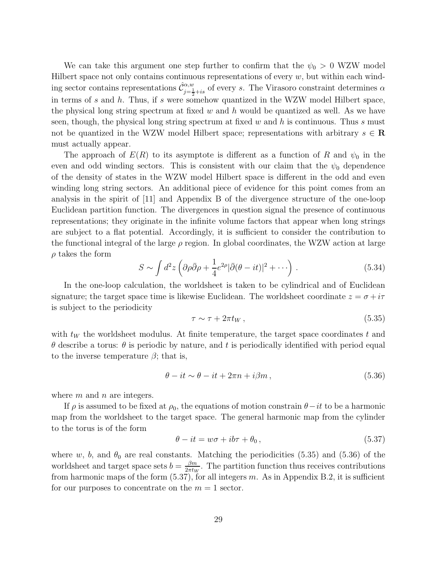We can take this argument one step further to confirm that the  $\psi_0 > 0$  WZW model Hilbert space not only contains continuous representations of every  $w$ , but within each winding sector contains representations  $\hat{\mathcal{C}}_{j=\frac{1}{2}+is}^{\alpha,w}$  of every s. The Virasoro constraint determines  $\alpha$ in terms of s and h. Thus, if s were somehow quantized in the WZW model Hilbert space, the physical long string spectrum at fixed w and h would be quantized as well. As we have seen, though, the physical long string spectrum at fixed w and h is continuous. Thus s must not be quantized in the WZW model Hilbert space; representations with arbitrary  $s \in \mathbb{R}$ must actually appear.

The approach of  $E(R)$  to its asymptote is different as a function of R and  $\psi_0$  in the even and odd winding sectors. This is consistent with our claim that the  $\psi_0$  dependence of the density of states in the WZW model Hilbert space is different in the odd and even winding long string sectors. An additional piece of evidence for this point comes from an analysis in the spirit of [11] and Appendix B of the divergence structure of the one-loop Euclidean partition function. The divergences in question signal the presence of continuous representations; they originate in the infinite volume factors that appear when long strings are subject to a flat potential. Accordingly, it is sufficient to consider the contribution to the functional integral of the large  $\rho$  region. In global coordinates, the WZW action at large  $\rho$  takes the form

$$
S \sim \int d^2 z \left( \partial \rho \bar{\partial} \rho + \frac{1}{4} e^{2\rho} |\bar{\partial} (\theta - it)|^2 + \cdots \right) . \tag{5.34}
$$

In the one-loop calculation, the worldsheet is taken to be cylindrical and of Euclidean signature; the target space time is likewise Euclidean. The worldsheet coordinate  $z = \sigma + i\tau$ is subject to the periodicity

$$
\tau \sim \tau + 2\pi t_W, \qquad (5.35)
$$

with  $t_W$  the worldsheet modulus. At finite temperature, the target space coordinates t and θ describe a torus: θ is periodic by nature, and t is periodically identified with period equal to the inverse temperature  $\beta$ ; that is,

$$
\theta - it \sim \theta - it + 2\pi n + i\beta m, \qquad (5.36)
$$

where  $m$  and  $n$  are integers.

If  $\rho$  is assumed to be fixed at  $\rho_0$ , the equations of motion constrain  $\theta - it$  to be a harmonic map from the worldsheet to the target space. The general harmonic map from the cylinder to the torus is of the form

$$
\theta - it = w\sigma + ib\tau + \theta_0, \qquad (5.37)
$$

where w, b, and  $\theta_0$  are real constants. Matching the periodicities (5.35) and (5.36) of the worldsheet and target space sets  $b = \frac{\beta m}{2\pi t}$  $\frac{\beta m}{2\pi t_W}$ . The partition function thus receives contributions from harmonic maps of the form  $(5.37)$ , for all integers m. As in Appendix B.2, it is sufficient for our purposes to concentrate on the  $m = 1$  sector.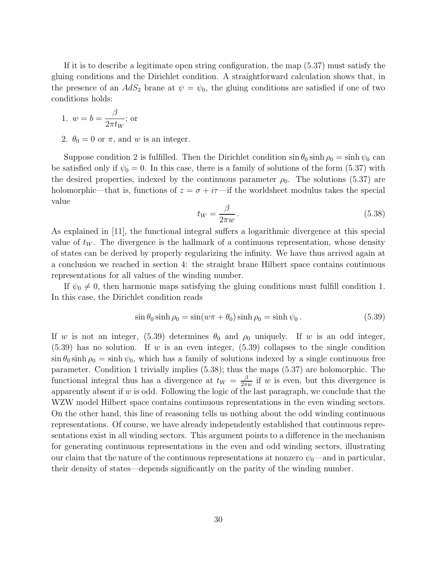If it is to describe a legitimate open string configuration, the map (5.37) must satisfy the gluing conditions and the Dirichlet condition. A straightforward calculation shows that, in the presence of an  $AdS_2$  brane at  $\psi = \psi_0$ , the gluing conditions are satisfied if one of two conditions holds:

1. 
$$
w = b = \frac{\beta}{2\pi t_W}
$$
; or

2.  $\theta_0 = 0$  or  $\pi$ , and w is an integer.

Suppose condition 2 is fulfilled. Then the Dirichlet condition  $\sin \theta_0 \sinh \rho_0 = \sinh \psi_0$  can be satisfied only if  $\psi_0 = 0$ . In this case, there is a family of solutions of the form (5.37) with the desired properties, indexed by the continuous parameter  $\rho_0$ . The solutions (5.37) are holomorphic—that is, functions of  $z = \sigma + i\tau$ —if the worldsheet modulus takes the special value

$$
t_W = \frac{\beta}{2\pi w} \,. \tag{5.38}
$$

As explained in [11], the functional integral suffers a logarithmic divergence at this special value of  $t_W$ . The divergence is the hallmark of a continuous representation, whose density of states can be derived by properly regularizing the infinity. We have thus arrived again at a conclusion we reached in section 4: the straight brane Hilbert space contains continuous representations for all values of the winding number.

If  $\psi_0 \neq 0$ , then harmonic maps satisfying the gluing conditions must fulfill condition 1. In this case, the Dirichlet condition reads

$$
\sin \theta_0 \sinh \rho_0 = \sin(w\pi + \theta_0) \sinh \rho_0 = \sinh \psi_0.
$$
\n(5.39)

If w is not an integer, (5.39) determines  $\theta_0$  and  $\rho_0$  uniquely. If w is an odd integer,  $(5.39)$  has no solution. If w is an even integer,  $(5.39)$  collapses to the single condition  $\sin \theta_0 \sinh \rho_0 = \sinh \psi_0$ , which has a family of solutions indexed by a single continuous free parameter. Condition 1 trivially implies (5.38); thus the maps (5.37) are holomorphic. The functional integral thus has a divergence at  $t_W = \frac{\beta}{2\pi}$  $\frac{\beta}{2\pi w}$  if w is even, but this divergence is apparently absent if  $w$  is odd. Following the logic of the last paragraph, we conclude that the WZW model Hilbert space contains continuous representations in the even winding sectors. On the other hand, this line of reasoning tells us nothing about the odd winding continuous representations. Of course, we have already independently established that continuous representations exist in all winding sectors. This argument points to a difference in the mechanism for generating continuous representations in the even and odd winding sectors, illustrating our claim that the nature of the continuous representations at nonzero  $\psi_0$ —and in particular, their density of states—depends significantly on the parity of the winding number.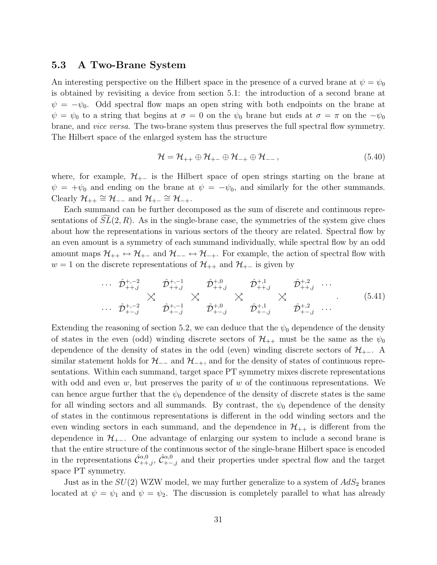#### 5.3 A Two-Brane System

An interesting perspective on the Hilbert space in the presence of a curved brane at  $\psi = \psi_0$ is obtained by revisiting a device from section 5.1: the introduction of a second brane at  $\psi = -\psi_0$ . Odd spectral flow maps an open string with both endpoints on the brane at  $\psi = \psi_0$  to a string that begins at  $\sigma = 0$  on the  $\psi_0$  brane but ends at  $\sigma = \pi$  on the  $-\psi_0$ brane, and vice versa. The two-brane system thus preserves the full spectral flow symmetry. The Hilbert space of the enlarged system has the structure

$$
\mathcal{H} = \mathcal{H}_{++} \oplus \mathcal{H}_{+-} \oplus \mathcal{H}_{-+} \oplus \mathcal{H}_{--},
$$
\n(5.40)

where, for example,  $\mathcal{H}_{+-}$  is the Hilbert space of open strings starting on the brane at  $\psi = +\psi_0$  and ending on the brane at  $\psi = -\psi_0$ , and similarly for the other summands. Clearly  $\mathcal{H}_{++} \cong \mathcal{H}_{--}$  and  $\mathcal{H}_{+-} \cong \mathcal{H}_{-+}$ .

Each summand can be further decomposed as the sum of discrete and continuous representations of  $SL(2, R)$ . As in the single-brane case, the symmetries of the system give clues about how the representations in various sectors of the theory are related. Spectral flow by an even amount is a symmetry of each summand individually, while spectral flow by an odd amount maps  $\mathcal{H}_{++} \leftrightarrow \mathcal{H}_{+-}$  and  $\mathcal{H}_{--} \leftrightarrow \mathcal{H}_{-+}$ . For example, the action of spectral flow with  $w = 1$  on the discrete representations of  $\mathcal{H}_{++}$  and  $\mathcal{H}_{+-}$  is given by

$$
\cdots \hat{\mathcal{D}}_{++,j}^{+,-2} \qquad \hat{\mathcal{D}}_{++,j}^{+,-1} \qquad \hat{\mathcal{D}}_{++,j}^{+,0} \qquad \hat{\mathcal{D}}_{++,j}^{+,1} \qquad \hat{\mathcal{D}}_{++,j}^{+,2} \qquad \cdots
$$
\n
$$
\cdots \qquad \hat{\mathcal{D}}_{+-,j}^{+,-2} \qquad \hat{\mathcal{D}}_{+-,j}^{+,-1} \qquad \hat{\mathcal{D}}_{+-,j}^{+,0} \qquad \hat{\mathcal{D}}_{+-,j}^{+,1} \qquad \hat{\mathcal{D}}_{+-,j}^{+,2} \qquad \cdots \qquad (5.41)
$$

Extending the reasoning of section 5.2, we can deduce that the  $\psi_0$  dependence of the density of states in the even (odd) winding discrete sectors of  $\mathcal{H}_{++}$  must be the same as the  $\psi_0$ dependence of the density of states in the odd (even) winding discrete sectors of  $\mathcal{H}_{+-}$ . A similar statement holds for  $\mathcal{H}_{-+}$  and  $\mathcal{H}_{-+}$ , and for the density of states of continuous representations. Within each summand, target space PT symmetry mixes discrete representations with odd and even w, but preserves the parity of w of the continuous representations. We can hence argue further that the  $\psi_0$  dependence of the density of discrete states is the same for all winding sectors and all summands. By contrast, the  $\psi_0$  dependence of the density of states in the continuous representations is different in the odd winding sectors and the even winding sectors in each summand, and the dependence in  $\mathcal{H}_{++}$  is different from the dependence in  $\mathcal{H}_{+-}$ . One advantage of enlarging our system to include a second brane is that the entire structure of the continuous sector of the single-brane Hilbert space is encoded in the representations  $\hat{C}_{++,j}^{\alpha,0}, \hat{C}_{+-,j}^{\alpha,0}$  and their properties under spectral flow and the target space PT symmetry.

Just as in the  $SU(2)$  WZW model, we may further generalize to a system of  $AdS_2$  branes located at  $\psi = \psi_1$  and  $\psi = \psi_2$ . The discussion is completely parallel to what has already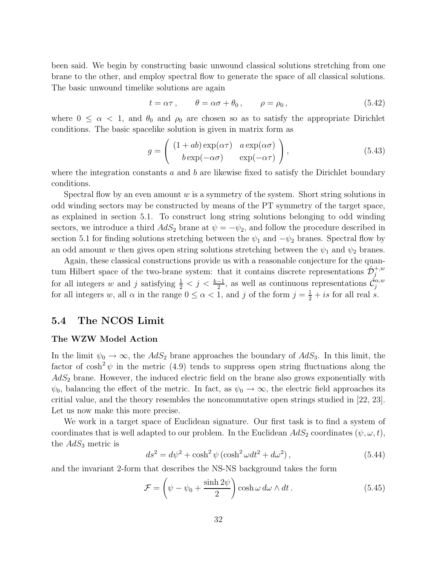been said. We begin by constructing basic unwound classical solutions stretching from one brane to the other, and employ spectral flow to generate the space of all classical solutions. The basic unwound timelike solutions are again

$$
t = \alpha \tau, \qquad \theta = \alpha \sigma + \theta_0, \qquad \rho = \rho_0, \tag{5.42}
$$

where  $0 \leq \alpha < 1$ , and  $\theta_0$  and  $\rho_0$  are chosen so as to satisfy the appropriate Dirichlet conditions. The basic spacelike solution is given in matrix form as

$$
g = \begin{pmatrix} (1+ab)\exp(\alpha\tau) & a\exp(\alpha\sigma) \\ b\exp(-\alpha\sigma) & \exp(-\alpha\tau) \end{pmatrix},
$$
 (5.43)

where the integration constants  $a$  and  $b$  are likewise fixed to satisfy the Dirichlet boundary conditions.

Spectral flow by an even amount  $w$  is a symmetry of the system. Short string solutions in odd winding sectors may be constructed by means of the PT symmetry of the target space, as explained in section 5.1. To construct long string solutions belonging to odd winding sectors, we introduce a third  $AdS_2$  brane at  $\psi = -\psi_2$ , and follow the procedure described in section 5.1 for finding solutions stretching between the  $\psi_1$  and  $-\psi_2$  branes. Spectral flow by an odd amount w then gives open string solutions stretching between the  $\psi_1$  and  $\psi_2$  branes.

Again, these classical constructions provide us with a reasonable conjecture for the quantum Hilbert space of the two-brane system: that it contains discrete representations  $\hat{\mathcal{D}}_j^{+,w}$ for all integers w and j satisfying  $\frac{1}{2} < j < \frac{k-1}{2}$ , as well as continuous representations  $\hat{C}^{\alpha,w}_j$ for all integers w, all  $\alpha$  in the range  $0 \leq \alpha < 1$ , and j of the form  $j = \frac{1}{2} + is$  for all real s.

### 5.4 The NCOS Limit

#### The WZW Model Action

In the limit  $\psi_0 \to \infty$ , the  $AdS_2$  brane approaches the boundary of  $AdS_3$ . In this limit, the factor of  $\cosh^2 \psi$  in the metric (4.9) tends to suppress open string fluctuations along the  $AdS<sub>2</sub>$  brane. However, the induced electric field on the brane also grows exponentially with  $\psi_0$ , balancing the effect of the metric. In fact, as  $\psi_0 \to \infty$ , the electric field approaches its critial value, and the theory resembles the noncommutative open strings studied in [22, 23]. Let us now make this more precise.

We work in a target space of Euclidean signature. Our first task is to find a system of coordinates that is well adapted to our problem. In the Euclidean  $AdS_2$  coordinates  $(\psi, \omega, t)$ , the  $AdS_3$  metric is

$$
ds^{2} = d\psi^{2} + \cosh^{2}\psi\left(\cosh^{2}\omega dt^{2} + d\omega^{2}\right),\tag{5.44}
$$

and the invariant 2-form that describes the NS-NS background takes the form

$$
\mathcal{F} = \left(\psi - \psi_0 + \frac{\sinh 2\psi}{2}\right) \cosh \omega \, d\omega \wedge dt. \tag{5.45}
$$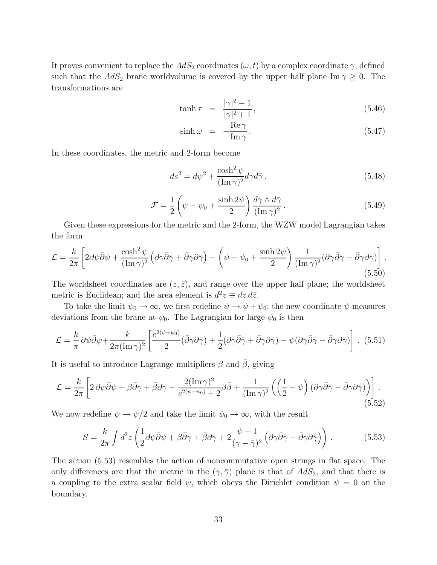It proves convenient to replace the  $AdS_2$  coordinates  $(\omega, t)$  by a complex coordinate  $\gamma$ , defined such that the  $AdS_2$  brane worldvolume is covered by the upper half plane Im  $\gamma \geq 0$ . The transformations are

$$
\tanh \tau = \frac{|\gamma|^2 - 1}{|\gamma|^2 + 1},
$$
\n(5.46)

$$
\sinh \omega = -\frac{\text{Re}\,\gamma}{\text{Im}\,\gamma}.
$$
\n(5.47)

In these coordinates, the metric and 2-form become

$$
ds^2 = d\psi^2 + \frac{\cosh^2 \psi}{(\text{Im}\,\gamma)^2} d\gamma d\bar{\gamma},\qquad(5.48)
$$

$$
\mathcal{F} = \frac{1}{2} \left( \psi - \psi_0 + \frac{\sinh 2\psi}{2} \right) \frac{d\gamma \wedge d\bar{\gamma}}{(\text{Im}\,\gamma)^2}.
$$
 (5.49)

Given these expressions for the metric and the 2-form, the WZW model Lagrangian takes the form

$$
\mathcal{L} = \frac{k}{2\pi} \left[ 2\partial\psi\bar{\partial}\psi + \frac{\cosh^2\psi}{(\text{Im}\,\gamma)^2} \left( \partial\gamma\bar{\partial}\bar{\gamma} + \bar{\partial}\gamma\partial\bar{\gamma} \right) - \left( \psi - \psi_0 + \frac{\sinh 2\psi}{2} \right) \frac{1}{(\text{Im}\,\gamma)^2} (\partial\gamma\bar{\partial}\bar{\gamma} - \bar{\partial}\gamma\partial\bar{\gamma}) \right].
$$
\n(5.50)

The worldsheet coordinates are  $(z, \bar{z})$ , and range over the upper half plane; the worldsheet metric is Euclidean; and the area element is  $d^2z \equiv dz d\overline{z}$ .

To take the limit  $\psi_0 \to \infty$ , we first redefine  $\psi \to \psi + \psi_0$ ; the new coordinate  $\psi$  measures deviations from the brane at  $\psi_0$ . The Lagrangian for large  $\psi_0$  is then

$$
\mathcal{L} = \frac{k}{\pi} \partial \psi \bar{\partial} \psi + \frac{k}{2\pi (\text{Im}\,\gamma)^2} \left[ \frac{e^{2(\psi + \psi_0)}}{2} (\bar{\partial} \gamma \partial \bar{\gamma}) + \frac{1}{2} (\partial \gamma \bar{\partial} \bar{\gamma} + \bar{\partial} \gamma \partial \bar{\gamma}) - \psi (\partial \gamma \bar{\partial} \bar{\gamma} - \bar{\partial} \gamma \partial \bar{\gamma}) \right].
$$
 (5.51)

It is useful to introduce Lagrange multipliers  $\beta$  and  $\overline{\beta}$ , giving

$$
\mathcal{L} = \frac{k}{2\pi} \left[ 2 \partial \psi \bar{\partial} \psi + \beta \bar{\partial} \gamma + \bar{\beta} \partial \bar{\gamma} - \frac{2(\text{Im}\,\gamma)^2}{e^{2(\psi + \psi_0)} + 2} \beta \bar{\beta} + \frac{1}{(\text{Im}\,\gamma)^2} \left( \left( \frac{1}{2} - \psi \right) (\partial \gamma \bar{\partial} \bar{\gamma} - \bar{\partial} \gamma \partial \bar{\gamma}) \right) \right].
$$
\n(5.52)

We now redefine  $\psi \to \psi/2$  and take the limit  $\psi_0 \to \infty$ , with the result

$$
S = \frac{k}{2\pi} \int d^2 z \left( \frac{1}{2} \partial \psi \bar{\partial} \psi + \beta \bar{\partial} \gamma + \bar{\beta} \partial \bar{\gamma} + 2 \frac{\psi - 1}{(\gamma - \bar{\gamma})^2} \left( \partial \gamma \bar{\partial} \bar{\gamma} - \bar{\partial} \gamma \partial \bar{\gamma} \right) \right). \tag{5.53}
$$

The action (5.53) resembles the action of noncommutative open strings in flat space. The only differences are that the metric in the  $(\gamma, \bar{\gamma})$  plane is that of  $AdS_2$ , and that there is a coupling to the extra scalar field  $\psi$ , which obeys the Dirichlet condition  $\psi = 0$  on the boundary.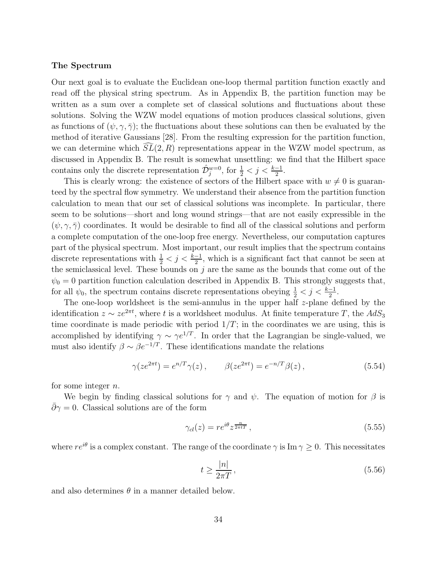#### The Spectrum

Our next goal is to evaluate the Euclidean one-loop thermal partition function exactly and read off the physical string spectrum. As in Appendix B, the partition function may be written as a sum over a complete set of classical solutions and fluctuations about these solutions. Solving the WZW model equations of motion produces classical solutions, given as functions of  $(\psi, \gamma, \overline{\gamma})$ ; the fluctuations about these solutions can then be evaluated by the method of iterative Gaussians [28]. From the resulting expression for the partition function, we can determine which  $SL(2, R)$  representations appear in the WZW model spectrum, as discussed in Appendix B. The result is somewhat unsettling: we find that the Hilbert space contains only the discrete representation  $\hat{\mathcal{D}}_j^{w=0}$ , for  $\frac{1}{2} < j < \frac{k-1}{2}$ .

This is clearly wrong: the existence of sectors of the Hilbert space with  $w \neq 0$  is guaranteed by the spectral flow symmetry. We understand their absence from the partition function calculation to mean that our set of classical solutions was incomplete. In particular, there seem to be solutions—short and long wound strings—that are not easily expressible in the  $(\psi, \gamma, \bar{\gamma})$  coordinates. It would be desirable to find all of the classical solutions and perform a complete computation of the one-loop free energy. Nevertheless, our computation captures part of the physical spectrum. Most important, our result implies that the spectrum contains discrete representations with  $\frac{1}{2} < j < \frac{k-1}{2}$ , which is a significant fact that cannot be seen at the semiclassical level. These bounds on  $j$  are the same as the bounds that come out of the  $\psi_0 = 0$  partition function calculation described in Appendix B. This strongly suggests that, for all  $\psi_0$ , the spectrum contains discrete representations obeying  $\frac{1}{2} < j < \frac{k-1}{2}$ .

The one-loop worldsheet is the semi-annulus in the upper half  $z$ -plane defined by the identification  $z \sim ze^{2\pi t}$ , where t is a worldsheet modulus. At finite temperature T, the  $AdS_3$ time coordinate is made periodic with period  $1/T$ ; in the coordinates we are using, this is accomplished by identifying  $\gamma \sim \gamma e^{1/T}$ . In order that the Lagrangian be single-valued, we must also identify  $\beta \sim \beta e^{-1/T}$ . These identifications mandate the relations

$$
\gamma(ze^{2\pi t}) = e^{n/T}\gamma(z), \qquad \beta(ze^{2\pi t}) = e^{-n/T}\beta(z),
$$
\n(5.54)

for some integer n.

We begin by finding classical solutions for  $\gamma$  and  $\psi$ . The equation of motion for  $\beta$  is  $\bar{\partial}\gamma=0.$  Classical solutions are of the form

$$
\gamma_{cl}(z) = r e^{i\theta} z^{\frac{n}{2\pi t}} \,,\tag{5.55}
$$

where  $re^{i\theta}$  is a complex constant. The range of the coordinate  $\gamma$  is Im  $\gamma \geq 0$ . This necessitates

$$
t \ge \frac{|n|}{2\pi T},\tag{5.56}
$$

and also determines  $\theta$  in a manner detailed below.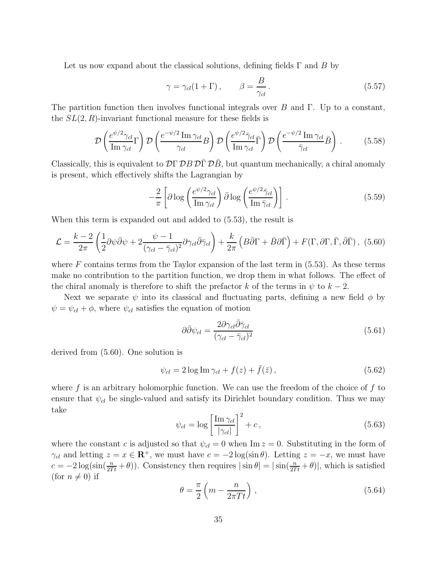Let us now expand about the classical solutions, defining fields  $\Gamma$  and B by

$$
\gamma = \gamma_{cl}(1 + \Gamma), \qquad \beta = \frac{B}{\gamma_{cl}}.
$$
\n(5.57)

The partition function then involves functional integrals over B and Γ. Up to a constant, the  $SL(2, R)$ -invariant functional measure for these fields is

$$
\mathcal{D}\left(\frac{e^{\psi/2}\gamma_{cl}}{\mathrm{Im}\,\gamma_{cl}}\Gamma\right)\mathcal{D}\left(\frac{e^{-\psi/2}\,\mathrm{Im}\,\gamma_{cl}}{\gamma_{cl}}B\right)\mathcal{D}\left(\frac{e^{\psi/2}\bar{\gamma}_{cl}}{\mathrm{Im}\,\gamma_{cl}}\bar{\Gamma}\right)\mathcal{D}\left(\frac{e^{-\psi/2}\,\mathrm{Im}\,\gamma_{cl}}{\bar{\gamma}_{cl}}\bar{B}\right).
$$
(5.58)

Classically, this is equivalent to  $\mathcal{D}\Gamma \mathcal{D}B \mathcal{D}\overline{\Gamma} \mathcal{D}\overline{B}$ , but quantum mechanically, a chiral anomaly is present, which effectively shifts the Lagrangian by

$$
-\frac{2}{\pi} \left[ \partial \log \left( \frac{e^{\psi/2} \gamma_{cl}}{\mathrm{Im}\,\gamma_{cl}} \right) \bar{\partial} \log \left( \frac{e^{\psi/2} \bar{\gamma}_{cl}}{\mathrm{Im}\,\bar{\gamma}_{cl}} \right) \right]. \tag{5.59}
$$

When this term is expanded out and added to (5.53), the result is

$$
\mathcal{L} = \frac{k-2}{2\pi} \left( \frac{1}{2} \partial \psi \bar{\partial} \psi + 2 \frac{\psi - 1}{(\gamma_{cl} - \bar{\gamma}_{cl})^2} \partial \gamma_{cl} \bar{\partial} \bar{\gamma}_{cl} \right) + \frac{k}{2\pi} \left( B \bar{\partial} \Gamma + \bar{B} \partial \bar{\Gamma} \right) + F(\Gamma, \partial \Gamma, \bar{\Gamma}, \bar{\partial} \bar{\Gamma}), \tag{5.60}
$$

where  $F$  contains terms from the Taylor expansion of the last term in  $(5.53)$ . As these terms make no contribution to the partition function, we drop them in what follows. The effect of the chiral anomaly is therefore to shift the prefactor k of the terms in  $\psi$  to  $k-2$ .

Next we separate  $\psi$  into its classical and fluctuating parts, defining a new field  $\phi$  by  $\psi = \psi_{cl} + \phi$ , where  $\psi_{cl}$  satisfies the equation of motion

$$
\partial \bar{\partial} \psi_{cl} = \frac{2 \partial \gamma_{cl} \bar{\partial} \bar{\gamma}_{cl}}{(\gamma_{cl} - \bar{\gamma}_{cl})^2}
$$
(5.61)

derived from (5.60). One solution is

$$
\psi_{cl} = 2\log \text{Im}\,\gamma_{cl} + f(z) + \bar{f}(\bar{z}),\tag{5.62}
$$

where  $f$  is an arbitrary holomorphic function. We can use the freedom of the choice of  $f$  to ensure that  $\psi_{cl}$  be single-valued and satisfy its Dirichlet boundary condition. Thus we may take

$$
\psi_{cl} = \log \left[ \frac{\text{Im } \gamma_{cl}}{|\gamma_{cl}|} \right]^2 + c \,, \tag{5.63}
$$

where the constant c is adjusted so that  $\psi_{cl} = 0$  when Im  $z = 0$ . Substituting in the form of  $\gamma_{cl}$  and letting  $z = x \in \mathbb{R}^+$ , we must have  $c = -2 \log(\sin \theta)$ . Letting  $z = -x$ , we must have  $c = -2 \log(\sin(\frac{n}{2Tt} + \theta))$ . Consistency then requires  $|\sin \theta| = |\sin(\frac{n}{2Tt} + \theta)|$ , which is satisfied (for  $n \neq 0$ ) if

$$
\theta = \frac{\pi}{2} \left( m - \frac{n}{2\pi T t} \right),\tag{5.64}
$$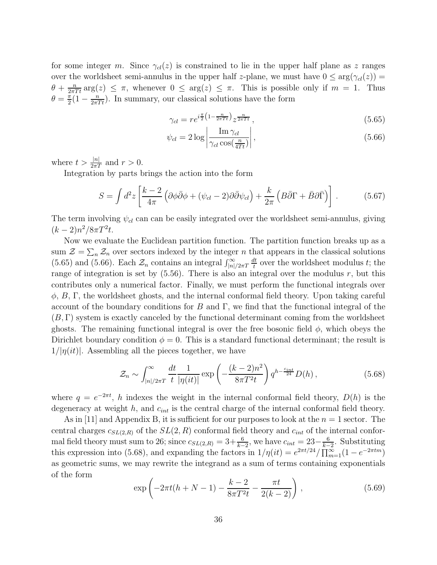for some integer m. Since  $\gamma_{cl}(z)$  is constrained to lie in the upper half plane as z ranges over the worldsheet semi-annulus in the upper half z-plane, we must have  $0 \le \arg(\gamma_{cl}(z)) =$  $\theta + \frac{n}{2\pi T t} \arg(z) \leq \pi$ , whenever  $0 \leq \arg(z) \leq \pi$ . This is possible only if  $m = 1$ . Thus  $\theta = \frac{\pi}{2}$  $\frac{\pi}{2}(1-\frac{n}{2\pi Tt})$ . In summary, our classical solutions have the form

$$
\gamma_{cl} = r e^{i\frac{\pi}{2} \left(1 - \frac{n}{2\pi T t}\right)} z^{\frac{n}{2\pi T t}}, \qquad (5.65)
$$

$$
\psi_{cl} = 2 \log \left| \frac{\operatorname{Im} \gamma_{cl}}{\gamma_{cl} \cos(\frac{n}{4Tt})} \right|,\tag{5.66}
$$

where  $t > \frac{|n|}{2\pi T}$  and  $r > 0$ .

Integration by parts brings the action into the form

$$
S = \int d^2 z \left[ \frac{k-2}{4\pi} \left( \partial \phi \bar{\partial} \phi + (\psi_{cl} - 2) \partial \bar{\partial} \psi_{cl} \right) + \frac{k}{2\pi} \left( B \bar{\partial} \Gamma + \bar{B} \partial \bar{\Gamma} \right) \right] . \tag{5.67}
$$

The term involving  $\psi_{cl}$  can can be easily integrated over the worldsheet semi-annulus, giving  $(k-2)n^2/8\pi T^2t.$ 

Now we evaluate the Euclidean partition function. The partition function breaks up as a sum  $\mathcal{Z} = \sum_n \mathcal{Z}_n$  over sectors indexed by the integer n that appears in the classical solutions (5.65) and (5.66). Each  $\mathcal{Z}_n$  contains an integral  $\int_{|n|/2\pi T}^{\infty} \frac{dt}{t}$  $\frac{dt}{t}$  over the worldsheet modulus t; the range of integration is set by  $(5.56)$ . There is also an integral over the modulus r, but this contributes only a numerical factor. Finally, we must perform the functional integrals over  $\phi$ , B,  $\Gamma$ , the worldsheet ghosts, and the internal conformal field theory. Upon taking careful account of the boundary conditions for B and  $\Gamma$ , we find that the functional integral of the  $(B, \Gamma)$  system is exactly canceled by the functional determinant coming from the worldsheet ghosts. The remaining functional integral is over the free bosonic field  $\phi$ , which obeys the Dirichlet boundary condition  $\phi = 0$ . This is a standard functional determinant; the result is  $1/|\eta(it)|$ . Assembling all the pieces together, we have

$$
\mathcal{Z}_n \sim \int_{|n|/2\pi T}^{\infty} \frac{dt}{t} \frac{1}{|\eta(it)|} \exp\left(-\frac{(k-2)n^2}{8\pi T^2 t}\right) q^{h-\frac{c_{int}}{24}} D(h) ,\qquad (5.68)
$$

where  $q = e^{-2\pi t}$ , h indexes the weight in the internal conformal field theory,  $D(h)$  is the degeneracy at weight  $h$ , and  $c_{int}$  is the central charge of the internal conformal field theory.

As in [11] and Appendix B, it is sufficient for our purposes to look at the  $n = 1$  sector. The central charges  $c_{SL(2,R)}$  of the  $SL(2, R)$  conformal field theory and  $c_{int}$  of the internal conformal field theory must sum to 26; since  $c_{SL(2,R)} = 3 + \frac{6}{k-2}$ , we have  $c_{int} = 23 - \frac{6}{k-2}$  $\frac{6}{k-2}$ . Substituting this expression into (5.68), and expanding the factors in  $1/\eta(it) = e^{2\pi t/24}/\prod_{m=1}^{\infty}(1 - e^{-2\pi tm})$ as geometric sums, we may rewrite the integrand as a sum of terms containing exponentials of the form

$$
\exp\left(-2\pi t(h+N-1) - \frac{k-2}{8\pi T^2 t} - \frac{\pi t}{2(k-2)}\right),\tag{5.69}
$$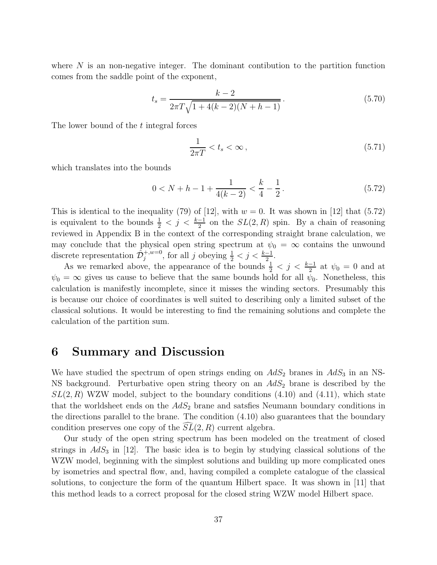where  $N$  is an non-negative integer. The dominant contibution to the partition function comes from the saddle point of the exponent,

$$
t_s = \frac{k-2}{2\pi T\sqrt{1+4(k-2)(N+h-1)}}.
$$
\n(5.70)

The lower bound of the t integral forces

$$
\frac{1}{2\pi T} < t_s < \infty \,,\tag{5.71}
$$

which translates into the bounds

$$
0 < N + h - 1 + \frac{1}{4(k - 2)} < \frac{k}{4} - \frac{1}{2} \,. \tag{5.72}
$$

This is identical to the inequality (79) of [12], with  $w = 0$ . It was shown in [12] that (5.72) is equivalent to the bounds  $\frac{1}{2} < j < \frac{k-1}{2}$  on the  $SL(2, R)$  spin. By a chain of reasoning reviewed in Appendix B in the context of the corresponding straight brane calculation, we may conclude that the physical open string spectrum at  $\psi_0 = \infty$  contains the unwound discrete representation  $\hat{\mathcal{D}}_j^{+,w=0}$ , for all j obeying  $\frac{1}{2} < j < \frac{k-1}{2}$ .

As we remarked above, the appearance of the bounds  $\frac{1}{2} < j < \frac{k-1}{2}$  at  $\psi_0 = 0$  and at  $\psi_0 = \infty$  gives us cause to believe that the same bounds hold for all  $\psi_0$ . Nonetheless, this calculation is manifestly incomplete, since it misses the winding sectors. Presumably this is because our choice of coordinates is well suited to describing only a limited subset of the classical solutions. It would be interesting to find the remaining solutions and complete the calculation of the partition sum.

# 6 Summary and Discussion

We have studied the spectrum of open strings ending on  $AdS_2$  branes in  $AdS_3$  in an NS-NS background. Perturbative open string theory on an  $AdS_2$  brane is described by the  $SL(2, R)$  WZW model, subject to the boundary conditions  $(4.10)$  and  $(4.11)$ , which state that the worldsheet ends on the  $AdS_2$  brane and satsfies Neumann boundary conditions in the directions parallel to the brane. The condition (4.10) also guarantees that the boundary condition preserves one copy of the  $SL(2, R)$  current algebra.

Our study of the open string spectrum has been modeled on the treatment of closed strings in  $AdS_3$  in [12]. The basic idea is to begin by studying classical solutions of the WZW model, beginning with the simplest solutions and building up more complicated ones by isometries and spectral flow, and, having compiled a complete catalogue of the classical solutions, to conjecture the form of the quantum Hilbert space. It was shown in [11] that this method leads to a correct proposal for the closed string WZW model Hilbert space.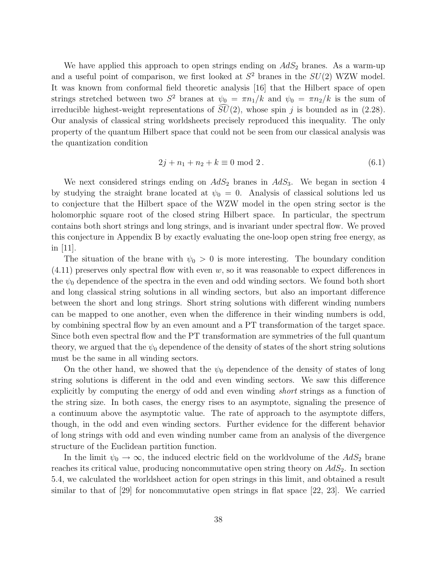We have applied this approach to open strings ending on  $AdS_2$  branes. As a warm-up and a useful point of comparison, we first looked at  $S^2$  branes in the  $SU(2)$  WZW model. It was known from conformal field theoretic analysis [16] that the Hilbert space of open strings stretched between two  $S^2$  branes at  $\psi_0 = \pi n_1/k$  and  $\psi_0 = \pi n_2/k$  is the sum of irreducible highest-weight representations of  $\widehat{SU}(2)$ , whose spin j is bounded as in (2.28). Our analysis of classical string worldsheets precisely reproduced this inequality. The only property of the quantum Hilbert space that could not be seen from our classical analysis was the quantization condition

$$
2j + n_1 + n_2 + k \equiv 0 \text{ mod } 2. \tag{6.1}
$$

We next considered strings ending on  $AdS_2$  branes in  $AdS_3$ . We began in section 4 by studying the straight brane located at  $\psi_0 = 0$ . Analysis of classical solutions led us to conjecture that the Hilbert space of the WZW model in the open string sector is the holomorphic square root of the closed string Hilbert space. In particular, the spectrum contains both short strings and long strings, and is invariant under spectral flow. We proved this conjecture in Appendix B by exactly evaluating the one-loop open string free energy, as in [11].

The situation of the brane with  $\psi_0 > 0$  is more interesting. The boundary condition  $(4.11)$  preserves only spectral flow with even w, so it was reasonable to expect differences in the  $\psi_0$  dependence of the spectra in the even and odd winding sectors. We found both short and long classical string solutions in all winding sectors, but also an important difference between the short and long strings. Short string solutions with different winding numbers can be mapped to one another, even when the difference in their winding numbers is odd, by combining spectral flow by an even amount and a PT transformation of the target space. Since both even spectral flow and the PT transformation are symmetries of the full quantum theory, we argued that the  $\psi_0$  dependence of the density of states of the short string solutions must be the same in all winding sectors.

On the other hand, we showed that the  $\psi_0$  dependence of the density of states of long string solutions is different in the odd and even winding sectors. We saw this difference explicitly by computing the energy of odd and even winding short strings as a function of the string size. In both cases, the energy rises to an asymptote, signaling the presence of a continuum above the asymptotic value. The rate of approach to the asymptote differs, though, in the odd and even winding sectors. Further evidence for the different behavior of long strings with odd and even winding number came from an analysis of the divergence structure of the Euclidean partition function.

In the limit  $\psi_0 \to \infty$ , the induced electric field on the worldvolume of the  $AdS_2$  brane reaches its critical value, producing noncommutative open string theory on  $AdS<sub>2</sub>$ . In section 5.4, we calculated the worldsheet action for open strings in this limit, and obtained a result similar to that of [29] for noncommutative open strings in flat space [22, 23]. We carried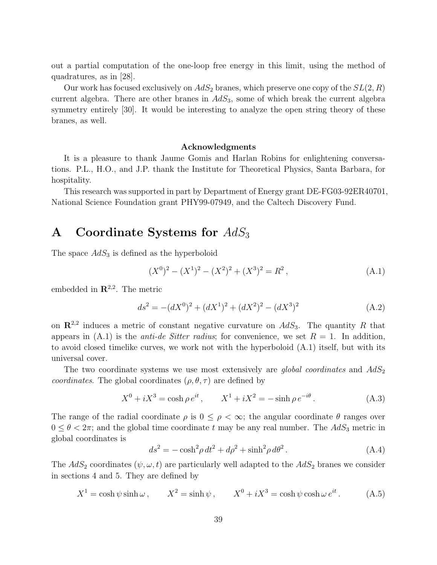out a partial computation of the one-loop free energy in this limit, using the method of quadratures, as in [28].

Our work has focused exclusively on  $AdS_2$  branes, which preserve one copy of the  $SL(2,R)$ current algebra. There are other branes in  $AdS_3$ , some of which break the current algebra symmetry entirely [30]. It would be interesting to analyze the open string theory of these branes, as well.

#### Acknowledgments

It is a pleasure to thank Jaume Gomis and Harlan Robins for enlightening conversations. P.L., H.O., and J.P. thank the Institute for Theoretical Physics, Santa Barbara, for hospitality.

This research was supported in part by Department of Energy grant DE-FG03-92ER40701, National Science Foundation grant PHY99-07949, and the Caltech Discovery Fund.

# A Coordinate Systems for  $AdS_3$

The space  $AdS_3$  is defined as the hyperboloid

$$
(X0)2 - (X1)2 - (X2)2 + (X3)2 = R2,
$$
\n(A.1)

embedded in  $\mathbb{R}^{2,2}$ . The metric

$$
ds^{2} = -(dX^{0})^{2} + (dX^{1})^{2} + (dX^{2})^{2} - (dX^{3})^{2}
$$
 (A.2)

on  $\mathbb{R}^{2,2}$  induces a metric of constant negative curvature on  $AdS_3$ . The quantity R that appears in  $(A.1)$  is the *anti-de Sitter radius*; for convenience, we set  $R = 1$ . In addition, to avoid closed timelike curves, we work not with the hyperboloid (A.1) itself, but with its universal cover.

The two coordinate systems we use most extensively are *global coordinates* and  $AdS_2$ *coordinates.* The global coordinates  $(\rho, \theta, \tau)$  are defined by

$$
X^{0} + iX^{3} = \cosh \rho \, e^{it}, \qquad X^{1} + iX^{2} = -\sinh \rho \, e^{-i\theta}.
$$
 (A.3)

The range of the radial coordinate  $\rho$  is  $0 \leq \rho < \infty$ ; the angular coordinate  $\theta$  ranges over  $0 \le \theta < 2\pi$ ; and the global time coordinate t may be any real number. The  $AdS_3$  metric in global coordinates is

$$
ds2 = -\cosh2 \rho dt2 + d\rho2 + \sinh2 \rho d\theta2.
$$
 (A.4)

The  $AdS_2$  coordinates  $(\psi, \omega, t)$  are particularly well adapted to the  $AdS_2$  branes we consider in sections 4 and 5. They are defined by

$$
X^{1} = \cosh \psi \sinh \omega, \qquad X^{2} = \sinh \psi, \qquad X^{0} + iX^{3} = \cosh \psi \cosh \omega e^{it}. \tag{A.5}
$$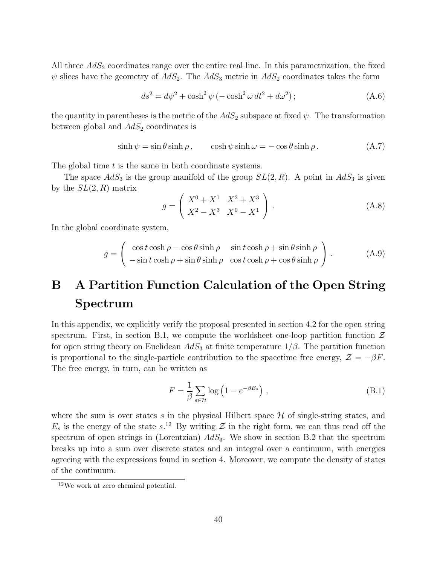All three  $AdS<sub>2</sub>$  coordinates range over the entire real line. In this parametrization, the fixed  $\psi$  slices have the geometry of  $AdS_2$ . The  $AdS_3$  metric in  $AdS_2$  coordinates takes the form

$$
ds^{2} = d\psi^{2} + \cosh^{2}\psi(-\cosh^{2}\omega dt^{2} + d\omega^{2});
$$
\n(A.6)

the quantity in parentheses is the metric of the  $AdS_2$  subspace at fixed  $\psi$ . The transformation between global and  $AdS_2$  coordinates is

$$
\sinh \psi = \sin \theta \sinh \rho, \qquad \cosh \psi \sinh \omega = -\cos \theta \sinh \rho. \tag{A.7}
$$

The global time t is the same in both coordinate systems.

The space  $AdS_3$  is the group manifold of the group  $SL(2, R)$ . A point in  $AdS_3$  is given by the  $SL(2, R)$  matrix

$$
g = \begin{pmatrix} X^0 + X^1 & X^2 + X^3 \\ X^2 - X^3 & X^0 - X^1 \end{pmatrix} .
$$
 (A.8)

In the global coordinate system,

$$
g = \begin{pmatrix} \cos t \cosh \rho - \cos \theta \sinh \rho & \sin t \cosh \rho + \sin \theta \sinh \rho \\ -\sin t \cosh \rho + \sin \theta \sinh \rho & \cos t \cosh \rho + \cos \theta \sinh \rho \end{pmatrix}.
$$
 (A.9)

# B A Partition Function Calculation of the Open String Spectrum

In this appendix, we explicitly verify the proposal presented in section 4.2 for the open string spectrum. First, in section B.1, we compute the worldsheet one-loop partition function  $\mathcal Z$ for open string theory on Euclidean  $AdS_3$  at finite temperature  $1/\beta$ . The partition function is proportional to the single-particle contribution to the spacetime free energy,  $\mathcal{Z} = -\beta F$ . The free energy, in turn, can be written as

$$
F = \frac{1}{\beta} \sum_{s \in \mathcal{H}} \log \left( 1 - e^{-\beta E_s} \right) , \qquad (B.1)
$$

where the sum is over states s in the physical Hilbert space  $H$  of single-string states, and  $E_s$  is the energy of the state  $s$ .<sup>12</sup> By writing  $\mathcal Z$  in the right form, we can thus read off the spectrum of open strings in (Lorentzian)  $AdS_3$ . We show in section B.2 that the spectrum breaks up into a sum over discrete states and an integral over a continuum, with energies agreeing with the expressions found in section 4. Moreover, we compute the density of states of the continuum.

<sup>12</sup>We work at zero chemical potential.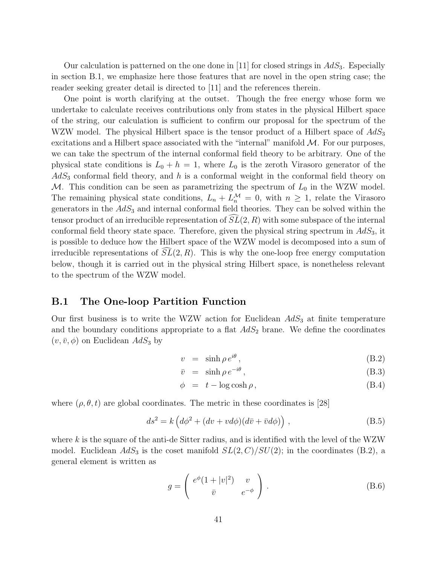Our calculation is patterned on the one done in [11] for closed strings in  $AdS_3$ . Especially in section B.1, we emphasize here those features that are novel in the open string case; the reader seeking greater detail is directed to [11] and the references therein.

One point is worth clarifying at the outset. Though the free energy whose form we undertake to calculate receives contributions only from states in the physical Hilbert space of the string, our calculation is sufficient to confirm our proposal for the spectrum of the WZW model. The physical Hilbert space is the tensor product of a Hilbert space of  $AdS_3$ excitations and a Hilbert space associated with the "internal" manifold  $M$ . For our purposes, we can take the spectrum of the internal conformal field theory to be arbitrary. One of the physical state conditions is  $L_0 + h = 1$ , where  $L_0$  is the zeroth Virasoro generator of the  $AdS<sub>3</sub>$  conformal field theory, and h is a conformal weight in the conformal field theory on M. This condition can be seen as parametrizing the spectrum of  $L_0$  in the WZW model. The remaining physical state conditions,  $L_n + L_n^{\mathcal{M}} = 0$ , with  $n \geq 1$ , relate the Virasoro generators in the  $AdS<sub>3</sub>$  and internal conformal field theories. They can be solved within the tensor product of an irreducible representation of  $\widetilde{SL}(2, R)$  with some subspace of the internal conformal field theory state space. Therefore, given the physical string spectrum in  $AdS<sub>3</sub>$ , it is possible to deduce how the Hilbert space of the WZW model is decomposed into a sum of irreducible representations of  $SL(2, R)$ . This is why the one-loop free energy computation below, though it is carried out in the physical string Hilbert space, is nonetheless relevant to the spectrum of the WZW model.

### B.1 The One-loop Partition Function

Our first business is to write the WZW action for Euclidean  $AdS<sub>3</sub>$  at finite temperature and the boundary conditions appropriate to a flat  $AdS_2$  brane. We define the coordinates  $(v, \bar{v}, \phi)$  on Euclidean  $AdS_3$  by

$$
v = \sinh \rho \, e^{i\theta} \,, \tag{B.2}
$$

$$
\bar{v} = \sinh \rho \, e^{-i\theta} \,, \tag{B.3}
$$

$$
\phi = t - \log \cosh \rho, \tag{B.4}
$$

where  $(\rho, \theta, t)$  are global coordinates. The metric in these coordinates is [28]

$$
ds^{2} = k \left( d\phi^{2} + (dv + vd\phi)(d\bar{v} + \bar{v}d\phi) \right), \qquad (B.5)
$$

where  $k$  is the square of the anti-de Sitter radius, and is identified with the level of the WZW model. Euclidean  $AdS_3$  is the coset manifold  $SL(2, C)/SU(2)$ ; in the coordinates (B.2), a general element is written as

$$
g = \begin{pmatrix} e^{\phi}(1+|v|^2) & v \\ \bar{v} & e^{-\phi} \end{pmatrix} .
$$
 (B.6)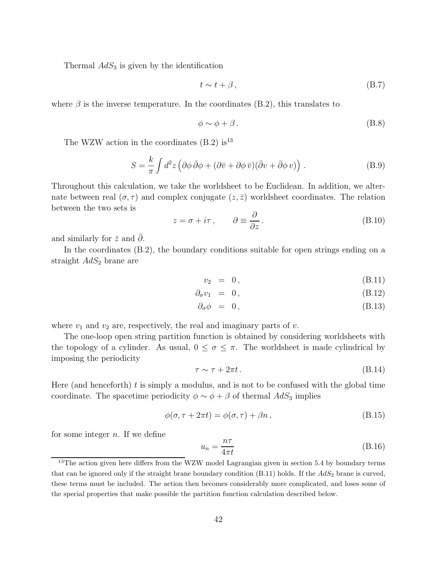Thermal  $AdS_3$  is given by the identification

$$
t \sim t + \beta, \tag{B.7}
$$

where  $\beta$  is the inverse temperature. In the coordinates (B.2), this translates to

$$
\phi \sim \phi + \beta. \tag{B.8}
$$

The WZW action in the coordinates  $(B.2)$  is<sup>13</sup>

$$
S = \frac{k}{\pi} \int d^2 z \left( \partial \phi \, \bar{\partial} \phi + (\partial \bar{v} + \partial \phi \, \bar{v}) (\bar{\partial} v + \bar{\partial} \phi \, v) \right) . \tag{B.9}
$$

Throughout this calculation, we take the worldsheet to be Euclidean. In addition, we alternate between real  $(\sigma, \tau)$  and complex conjugate  $(z, \bar{z})$  worldsheet coordinates. The relation between the two sets is

$$
z = \sigma + i\tau, \qquad \partial \equiv \frac{\partial}{\partial z}.
$$
 (B.10)

and similarly for  $\bar{z}$  and  $\partial$ .

In the coordinates (B.2), the boundary conditions suitable for open strings ending on a straight  $AdS_2$  brane are

$$
v_2 = 0, \t\t (B.11)
$$

$$
\partial_{\sigma} v_1 = 0, \qquad (B.12)
$$

$$
\partial_{\sigma}\phi = 0, \qquad (B.13)
$$

where  $v_1$  and  $v_2$  are, respectively, the real and imaginary parts of v.

The one-loop open string partition function is obtained by considering worldsheets with the topology of a cylinder. As usual,  $0 \leq \sigma \leq \pi$ . The worldsheet is made cylindrical by imposing the periodicity

$$
\tau \sim \tau + 2\pi t. \tag{B.14}
$$

Here (and henceforth)  $t$  is simply a modulus, and is not to be confused with the global time coordinate. The spacetime periodicity  $\phi \sim \phi + \beta$  of thermal  $AdS_3$  implies

$$
\phi(\sigma, \tau + 2\pi t) = \phi(\sigma, \tau) + \beta n, \qquad (B.15)
$$

for some integer  $n$ . If we define

$$
u_n = \frac{n\tau}{4\pi t} \tag{B.16}
$$

<sup>&</sup>lt;sup>13</sup>The action given here differs from the WZW model Lagrangian given in section 5.4 by boundary terms that can be ignored only if the straight brane boundary condition  $(B.11)$  holds. If the  $AdS_2$  brane is curved, these terms must be included. The action then becomes considerably more complicated, and loses some of the special properties that make possible the partition function calculation described below.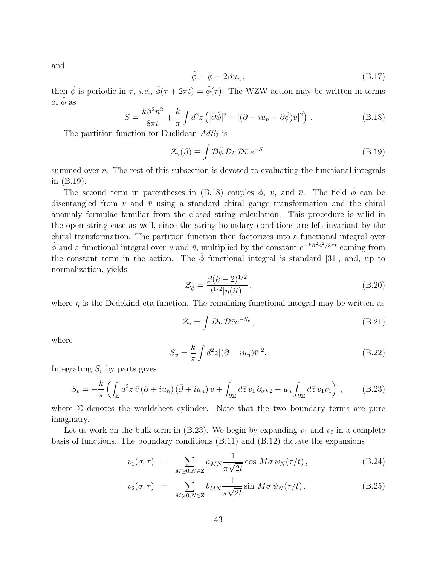and

$$
\hat{\phi} = \phi - 2\beta u_n, \tag{B.17}
$$

then  $\hat{\phi}$  is periodic in  $\tau$ , *i.e.*,  $\hat{\phi}(\tau + 2\pi t) = \hat{\phi}(\tau)$ . The WZW action may be written in terms of  $\hat{\phi}$  as

$$
S = \frac{k\beta^2 n^2}{8\pi t} + \frac{k}{\pi} \int d^2 z \left( |\partial \hat{\phi}|^2 + |(\partial - i u_n + \partial \hat{\phi}) \bar{v}|^2 \right) . \tag{B.18}
$$

The partition function for Euclidean  $AdS<sub>3</sub>$  is

$$
\mathcal{Z}_n(\beta) \equiv \int \mathcal{D}\hat{\phi} \, \mathcal{D}v \, \mathcal{D}\bar{v} \, e^{-S} \,, \tag{B.19}
$$

summed over n. The rest of this subsection is devoted to evaluating the functional integrals in (B.19).

The second term in parentheses in (B.18) couples  $\phi$ , v, and  $\bar{v}$ . The field  $\hat{\phi}$  can be disentangled from  $v$  and  $\bar{v}$  using a standard chiral gauge transformation and the chiral anomaly formulae familiar from the closed string calculation. This procedure is valid in the open string case as well, since the string boundary conditions are left invariant by the chiral transformation. The partition function then factorizes into a functional integral over  $\hat{\phi}$  and a functional integral over v and  $\bar{v}$ , multiplied by the constant  $e^{-k\beta^2 n^2/8\pi t}$  coming from the constant term in the action. The  $\hat{\phi}$  functional integral is standard [31], and, up to normalization, yields

$$
\mathcal{Z}_{\hat{\phi}} = \frac{\beta (k-2)^{1/2}}{t^{1/2} |\eta(it)|},\tag{B.20}
$$

where  $\eta$  is the Dedekind eta function. The remaining functional integral may be written as

$$
\mathcal{Z}_v = \int \mathcal{D}v \, \mathcal{D}\bar{v} e^{-S_v} \,, \tag{B.21}
$$

where

$$
S_v = \frac{k}{\pi} \int d^2 z |(\partial - i u_n)\overline{v}|^2.
$$
 (B.22)

Integrating  $S_v$  by parts gives

$$
S_v = -\frac{k}{\pi} \left( \int_{\Sigma} d^2 z \,\bar{v} \left( \partial + i u_n \right) \left( \bar{\partial} + i u_n \right) v + \int_{\partial \Sigma} d \bar{z} \, v_1 \, \partial_\sigma v_2 - u_n \int_{\partial \Sigma} d \bar{z} \, v_1 v_1 \right) , \tag{B.23}
$$

where  $\Sigma$  denotes the worldsheet cylinder. Note that the two boundary terms are pure imaginary.

Let us work on the bulk term in (B.23). We begin by expanding  $v_1$  and  $v_2$  in a complete basis of functions. The boundary conditions (B.11) and (B.12) dictate the expansions

$$
v_1(\sigma,\tau) = \sum_{M \ge 0, N \in \mathbf{Z}} a_{MN} \frac{1}{\pi \sqrt{2t}} \cos M \sigma \psi_N(\tau/t), \qquad (B.24)
$$

$$
v_2(\sigma, \tau) = \sum_{M>0, N \in \mathbf{Z}} b_{MN} \frac{1}{\pi \sqrt{2t}} \sin M \sigma \psi_N(\tau/t), \qquad (B.25)
$$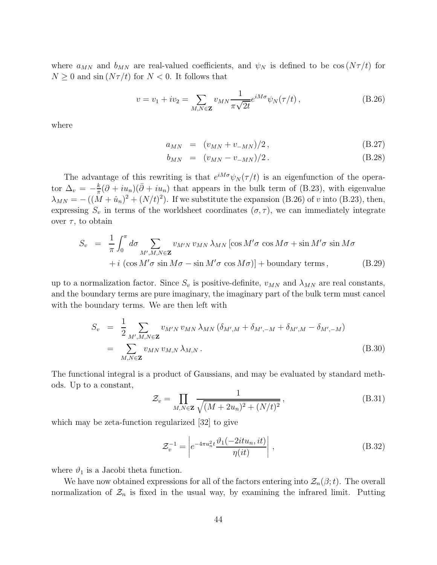where  $a_{MN}$  and  $b_{MN}$  are real-valued coefficients, and  $\psi_N$  is defined to be  $\cos(N\tau/t)$  for  $N \geq 0$  and  $\sin(N\tau/t)$  for  $N < 0$ . It follows that

$$
v = v_1 + iv_2 = \sum_{M,N \in \mathbf{Z}} v_{MN} \frac{1}{\pi \sqrt{2t}} e^{iM\sigma} \psi_N(\tau/t) , \qquad (B.26)
$$

where

$$
a_{MN} = (v_{MN} + v_{-MN})/2, \qquad (B.27)
$$

$$
b_{MN} = (v_{MN} - v_{-MN})/2. \tag{B.28}
$$

The advantage of this rewriting is that  $e^{iM\sigma}\psi_N(\tau/t)$  is an eigenfunction of the operator  $\Delta_v = -\frac{k}{\pi}$  $\frac{k}{\pi}(\partial + i u_n)(\bar{\partial} + i u_n)$  that appears in the bulk term of (B.23), with eigenvalue  $\lambda_{MN} = -((M + \hat{u}_n)^2 + (N/t)^2)$ . If we substitute the expansion (B.26) of v into (B.23), then, expressing  $S_v$  in terms of the worldsheet coordinates  $(\sigma, \tau)$ , we can immediately integrate over  $\tau$ , to obtain

$$
S_v = \frac{1}{\pi} \int_0^{\pi} d\sigma \sum_{M',M,N \in \mathbf{Z}} v_{M'N} v_{MN} \lambda_{MN} [\cos M' \sigma \cos M \sigma + \sin M' \sigma \sin M \sigma + i (\cos M' \sigma \sin M \sigma - \sin M' \sigma \cos M \sigma)] + \text{boundary terms}, \qquad (B.29)
$$

up to a normalization factor. Since  $S_v$  is positive-definite,  $v_{MN}$  and  $\lambda_{MN}$  are real constants, and the boundary terms are pure imaginary, the imaginary part of the bulk term must cancel with the boundary terms. We are then left with

$$
S_v = \frac{1}{2} \sum_{M',M,N \in \mathbf{Z}} v_{M'N} v_{MN} \lambda_{MN} (\delta_{M',M} + \delta_{M',-M} + \delta_{M',M} - \delta_{M',-M})
$$
  
= 
$$
\sum_{M,N \in \mathbf{Z}} v_{MN} v_{M,N} \lambda_{M,N} .
$$
 (B.30)

The functional integral is a product of Gaussians, and may be evaluated by standard methods. Up to a constant,

$$
\mathcal{Z}_v = \prod_{M,N \in \mathbf{Z}} \frac{1}{\sqrt{(M + 2u_n)^2 + (N/t)^2}},
$$
\n(B.31)

which may be zeta-function regularized [32] to give

$$
\mathcal{Z}_v^{-1} = \left| e^{-4\pi u_n^2 t} \frac{\vartheta_1(-2itu_n, it)}{\eta(it)} \right| ,\qquad (B.32)
$$

where  $\vartheta_1$  is a Jacobi theta function.

We have now obtained expressions for all of the factors entering into  $\mathcal{Z}_n(\beta;t)$ . The overall normalization of  $\mathcal{Z}_n$  is fixed in the usual way, by examining the infrared limit. Putting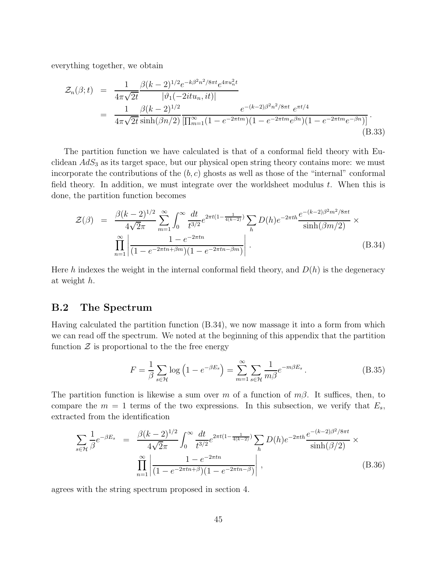everything together, we obtain

$$
\mathcal{Z}_n(\beta; t) = \frac{1}{4\pi\sqrt{2t}} \frac{\beta(k-2)^{1/2} e^{-k\beta^2 n^2/8\pi t} e^{4\pi u_n^2 t}}{|\vartheta_1(-2itu_n, it)|} \n= \frac{1}{4\pi\sqrt{2t}} \frac{\beta(k-2)^{1/2}}{\sinh(\beta n/2)} \frac{e^{-(k-2)\beta^2 n^2/8\pi t} e^{\pi t/4}}{[\prod_{m=1}^{\infty} (1 - e^{-2\pi t m})(1 - e^{-2\pi t m} e^{\beta n})(1 - e^{-2\pi t m} e^{-\beta n})]}.
$$
\n(B.33)

The partition function we have calculated is that of a conformal field theory with Euclidean  $AdS<sub>3</sub>$  as its target space, but our physical open string theory contains more: we must incorporate the contributions of the  $(b, c)$  ghosts as well as those of the "internal" conformal field theory. In addition, we must integrate over the worldsheet modulus  $t$ . When this is done, the partition function becomes

$$
\mathcal{Z}(\beta) = \frac{\beta(k-2)^{1/2}}{4\sqrt{2}\pi} \sum_{m=1}^{\infty} \int_0^{\infty} \frac{dt}{t^{3/2}} e^{2\pi t (1 - \frac{1}{4(k-2)})} \sum_h D(h) e^{-2\pi th} \frac{e^{-(k-2)\beta^2 m^2 / 8\pi t}}{\sinh(\beta m/2)} \times \prod_{n=1}^{\infty} \left| \frac{1 - e^{-2\pi tn}}{(1 - e^{-2\pi tn + \beta m})(1 - e^{-2\pi tn - \beta m})} \right|.
$$
\n(B.34)

Here h indexes the weight in the internal conformal field theory, and  $D(h)$  is the degeneracy at weight h.

## B.2 The Spectrum

Having calculated the partition function (B.34), we now massage it into a form from which we can read off the spectrum. We noted at the beginning of this appendix that the partition function  $\mathcal Z$  is proportional to the the free energy

$$
F = \frac{1}{\beta} \sum_{s \in \mathcal{H}} \log \left( 1 - e^{-\beta E_s} \right) = \sum_{m=1}^{\infty} \sum_{s \in \mathcal{H}} \frac{1}{m\beta} e^{-m\beta E_s} \,. \tag{B.35}
$$

The partition function is likewise a sum over m of a function of  $m\beta$ . It suffices, then, to compare the  $m = 1$  terms of the two expressions. In this subsection, we verify that  $E_s$ , extracted from the identification

$$
\sum_{s \in \mathcal{H}} \frac{1}{\beta} e^{-\beta E_s} = \frac{\beta (k-2)^{1/2}}{4\sqrt{2\pi}} \int_0^\infty \frac{dt}{t^{3/2}} e^{2\pi t (1 - \frac{1}{4(k-2)})} \sum_h D(h) e^{-2\pi t h} \frac{e^{-(k-2)\beta^2/8\pi t}}{\sinh(\beta/2)} \times \prod_{n=1}^\infty \left| \frac{1 - e^{-2\pi t n}}{(1 - e^{-2\pi t n + \beta})(1 - e^{-2\pi t n - \beta})} \right|,
$$
\n(B.36)

agrees with the string spectrum proposed in section 4.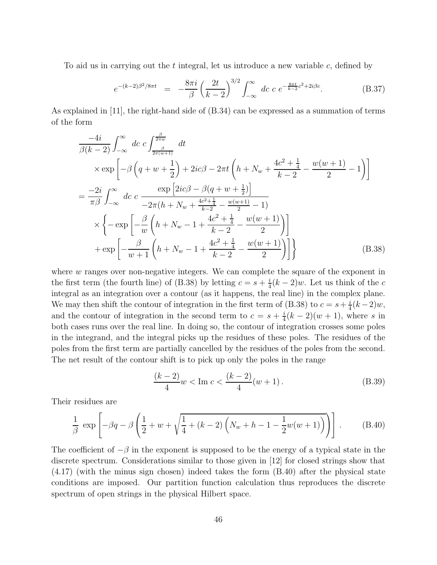To aid us in carrying out the t integral, let us introduce a new variable c, defined by

$$
e^{-(k-2)\beta^2/8\pi t} = -\frac{8\pi i}{\beta} \left(\frac{2t}{k-2}\right)^{3/2} \int_{-\infty}^{\infty} dc \ c \ e^{-\frac{8\pi t}{k-2}c^2 + 2i\beta c}.\tag{B.37}
$$

As explained in [11], the right-hand side of (B.34) can be expressed as a summation of terms of the form

$$
\frac{-4i}{\beta(k-2)} \int_{-\infty}^{\infty} dc \ c \int_{\frac{\beta}{2\pi(w+1)}}^{\frac{\beta}{2\pi(w+1)}} dt
$$
\n
$$
\times \exp\left[-\beta\left(q+w+\frac{1}{2}\right)+2ic\beta-2\pi t\left(h+N_w+\frac{4c^2+\frac{1}{4}}{k-2}-\frac{w(w+1)}{2}-1\right)\right]
$$
\n
$$
=\frac{-2i}{\pi\beta} \int_{-\infty}^{\infty} dc \ c \ \frac{\exp\left[2ic\beta-\beta(q+w+\frac{1}{2})\right]}{-2\pi(h+N_w+\frac{4c^2+\frac{1}{4}}{k-2}-\frac{w(w+1)}{2}-1)} \times \left\{-\exp\left[-\frac{\beta}{w}\left(h+N_w-1+\frac{4c^2+\frac{1}{4}}{k-2}-\frac{w(w+1)}{2}\right)\right] \right\}
$$
\n
$$
+\exp\left[-\frac{\beta}{w+1}\left(h+N_w-1+\frac{4c^2+\frac{1}{4}}{k-2}-\frac{w(w+1)}{2}\right)\right] \}
$$
\n(B.38)

where w ranges over non-negative integers. We can complete the square of the exponent in the first term (the fourth line) of (B.38) by letting  $c = s + \frac{i}{4}$  $\frac{i}{4}(k-2)w$ . Let us think of the c integral as an integration over a contour (as it happens, the real line) in the complex plane. We may then shift the contour of integration in the first term of (B.38) to  $c = s + \frac{i}{4}$  $\frac{i}{4}(k-2)w,$ and the contour of integration in the second term to  $c = s + \frac{i}{4}$  $\frac{i}{4}(k-2)(w+1)$ , where s in both cases runs over the real line. In doing so, the contour of integration crosses some poles in the integrand, and the integral picks up the residues of these poles. The residues of the poles from the first term are partially cancelled by the residues of the poles from the second. The net result of the contour shift is to pick up only the poles in the range

$$
\frac{(k-2)}{4}w < \text{Im } c < \frac{(k-2)}{4}(w+1). \tag{B.39}
$$

Their residues are

$$
\frac{1}{\beta} \exp \left[ -\beta q - \beta \left( \frac{1}{2} + w + \sqrt{\frac{1}{4} + (k - 2) \left( N_w + h - 1 - \frac{1}{2} w (w + 1) \right)} \right) \right].
$$
 (B.40)

The coefficient of  $-\beta$  in the exponent is supposed to be the energy of a typical state in the discrete spectrum. Considerations similar to those given in [12] for closed strings show that (4.17) (with the minus sign chosen) indeed takes the form (B.40) after the physical state conditions are imposed. Our partition function calculation thus reproduces the discrete spectrum of open strings in the physical Hilbert space.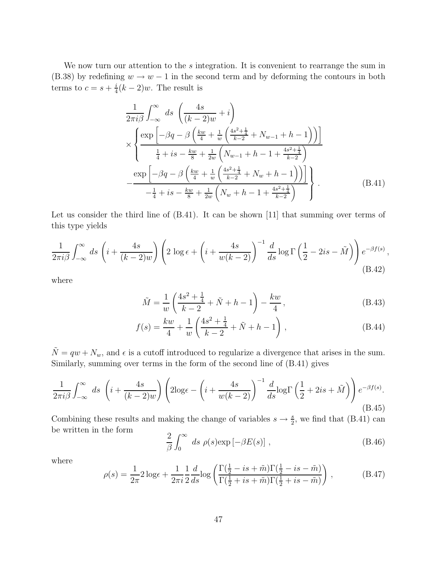We now turn our attention to the s integration. It is convenient to rearrange the sum in (B.38) by redefining  $w \to w - 1$  in the second term and by deforming the contours in both terms to  $c = s + \frac{i}{4}$  $\frac{i}{4}(k-2)w$ . The result is

$$
\frac{1}{2\pi i \beta} \int_{-\infty}^{\infty} ds \left( \frac{4s}{(k-2)w} + i \right)
$$
  
\n
$$
\times \left\{ \frac{\exp \left[ -\beta q - \beta \left( \frac{kw}{4} + \frac{1}{w} \left( \frac{4s^2 + \frac{1}{4}}{k-2} + N_{w-1} + h - 1 \right) \right) \right]}{\frac{1}{4} + is - \frac{kw}{8} + \frac{1}{2w} \left( N_{w-1} + h - 1 + \frac{4s^2 + \frac{1}{4}}{k-2} \right)}
$$
  
\n
$$
-\frac{\exp \left[ -\beta q - \beta \left( \frac{kw}{4} + \frac{1}{w} \left( \frac{4s^2 + \frac{1}{4}}{k-2} + N_w + h - 1 \right) \right) \right]}{-\frac{1}{4} + is - \frac{kw}{8} + \frac{1}{2w} \left( N_w + h - 1 + \frac{4s^2 + \frac{1}{4}}{k-2} \right)} \right\}.
$$
\n(B.41)

Let us consider the third line of  $(B.41)$ . It can be shown [11] that summing over terms of this type yields

$$
\frac{1}{2\pi i\beta} \int_{-\infty}^{\infty} ds \left( i + \frac{4s}{(k-2)w} \right) \left( 2 \log \epsilon + \left( i + \frac{4s}{w(k-2)} \right)^{-1} \frac{d}{ds} \log \Gamma \left( \frac{1}{2} - 2is - \tilde{M} \right) \right) e^{-\beta f(s)},
$$
\n(B.42)

where

$$
\tilde{M} = \frac{1}{w} \left( \frac{4s^2 + \frac{1}{4}}{k - 2} + \tilde{N} + h - 1 \right) - \frac{kw}{4},
$$
\n(B.43)

$$
f(s) = \frac{kw}{4} + \frac{1}{w} \left( \frac{4s^2 + \frac{1}{4}}{k - 2} + \tilde{N} + h - 1 \right),
$$
 (B.44)

 $\tilde{N} = qw + N_w$ , and  $\epsilon$  is a cutoff introduced to regularize a divergence that arises in the sum. Similarly, summing over terms in the form of the second line of (B.41) gives

$$
\frac{1}{2\pi i\beta} \int_{-\infty}^{\infty} ds \left( i + \frac{4s}{(k-2)w} \right) \left( 2\log \epsilon - \left( i + \frac{4s}{w(k-2)} \right)^{-1} \frac{d}{ds} \log \Gamma \left( \frac{1}{2} + 2is + \tilde{M} \right) \right) e^{-\beta f(s)}.
$$
\n(B.45)

Combining these results and making the change of variables  $s \to \frac{s}{2}$ , we find that (B.41) can be written in the form

$$
\frac{2}{\beta} \int_0^\infty ds \, \rho(s) \exp\left[-\beta E(s)\right] \,,\tag{B.46}
$$

where

$$
\rho(s) = \frac{1}{2\pi} 2 \log \epsilon + \frac{1}{2\pi i} \frac{1}{2} \frac{d}{ds} \log \left( \frac{\Gamma(\frac{1}{2} - is + \tilde{m}) \Gamma(\frac{1}{2} - is - \tilde{m})}{\Gamma(\frac{1}{2} + is + \tilde{m}) \Gamma(\frac{1}{2} + is - \tilde{m})} \right),
$$
(B.47)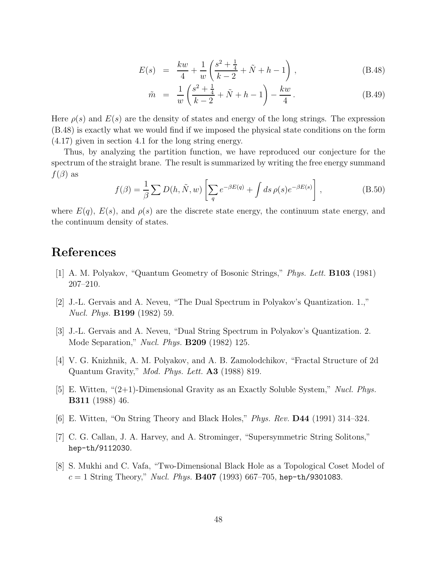$$
E(s) = \frac{kw}{4} + \frac{1}{w} \left( \frac{s^2 + \frac{1}{4}}{k - 2} + \tilde{N} + h - 1 \right), \tag{B.48}
$$

$$
\tilde{m} = \frac{1}{w} \left( \frac{s^2 + \frac{1}{4}}{k - 2} + \tilde{N} + h - 1 \right) - \frac{kw}{4}.
$$
\n(B.49)

Here  $\rho(s)$  and  $E(s)$  are the density of states and energy of the long strings. The expression (B.48) is exactly what we would find if we imposed the physical state conditions on the form (4.17) given in section 4.1 for the long string energy.

Thus, by analyzing the partition function, we have reproduced our conjecture for the spectrum of the straight brane. The result is summarized by writing the free energy summand  $f(\beta)$  as

$$
f(\beta) = \frac{1}{\beta} \sum D(h, \tilde{N}, w) \left[ \sum_{q} e^{-\beta E(q)} + \int ds \, \rho(s) e^{-\beta E(s)} \right], \tag{B.50}
$$

where  $E(q)$ ,  $E(s)$ , and  $\rho(s)$  are the discrete state energy, the continuum state energy, and the continuum density of states.

# References

- [1] A. M. Polyakov, "Quantum Geometry of Bosonic Strings," Phys. Lett. B103 (1981) 207–210.
- [2] J.-L. Gervais and A. Neveu, "The Dual Spectrum in Polyakov's Quantization. 1.," Nucl. Phys. B199 (1982) 59.
- [3] J.-L. Gervais and A. Neveu, "Dual String Spectrum in Polyakov's Quantization. 2. Mode Separation," Nucl. Phys. B209 (1982) 125.
- [4] V. G. Knizhnik, A. M. Polyakov, and A. B. Zamolodchikov, "Fractal Structure of 2d Quantum Gravity," Mod. Phys. Lett. A3 (1988) 819.
- [5] E. Witten, "(2+1)-Dimensional Gravity as an Exactly Soluble System," Nucl. Phys. B311 (1988) 46.
- [6] E. Witten, "On String Theory and Black Holes," Phys. Rev. D44 (1991) 314–324.
- [7] C. G. Callan, J. A. Harvey, and A. Strominger, "Supersymmetric String Solitons," hep-th/9112030.
- [8] S. Mukhi and C. Vafa, "Two-Dimensional Black Hole as a Topological Coset Model of  $c = 1$  String Theory," *Nucl. Phys.* **B407** (1993) 667–705, hep-th/9301083.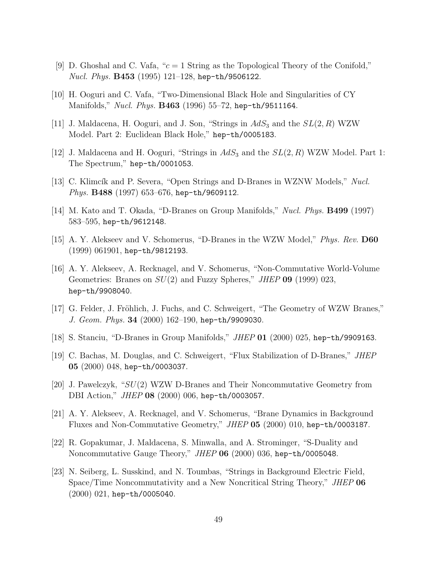- [9] D. Ghoshal and C. Vafa, " $c = 1$  String as the Topological Theory of the Conifold," *Nucl. Phys.*  $B453$  (1995) 121-128, hep-th/9506122.
- [10] H. Ooguri and C. Vafa, "Two-Dimensional Black Hole and Singularities of CY Manifolds," Nucl. Phys. **B463** (1996) 55-72, hep-th/9511164.
- [11] J. Maldacena, H. Ooguri, and J. Son, "Strings in  $AdS_3$  and the  $SL(2, R)$  WZW Model. Part 2: Euclidean Black Hole," hep-th/0005183.
- [12] J. Maldacena and H. Ooguri, "Strings in  $AdS_3$  and the  $SL(2, R)$  WZW Model. Part 1: The Spectrum," hep-th/0001053.
- [13] C. Klimcík and P. Severa, "Open Strings and D-Branes in WZNW Models," Nucl. Phys. B488 (1997) 653-676, hep-th/9609112.
- [14] M. Kato and T. Okada, "D-Branes on Group Manifolds," Nucl. Phys. B499 (1997) 583–595, hep-th/9612148.
- [15] A. Y. Alekseev and V. Schomerus, "D-Branes in the WZW Model," Phys. Rev. D60 (1999) 061901, hep-th/9812193.
- [16] A. Y. Alekseev, A. Recknagel, and V. Schomerus, "Non-Commutative World-Volume Geometries: Branes on  $SU(2)$  and Fuzzy Spheres," JHEP 09 (1999) 023, hep-th/9908040.
- [17] G. Felder, J. Fröhlich, J. Fuchs, and C. Schweigert, "The Geometry of WZW Branes," J. Geom. Phys. 34 (2000) 162-190, hep-th/9909030.
- [18] S. Stanciu, "D-Branes in Group Manifolds," JHEP 01 (2000) 025, hep-th/9909163.
- [19] C. Bachas, M. Douglas, and C. Schweigert, "Flux Stabilization of D-Branes," JHEP 05 (2000) 048, hep-th/0003037.
- [20] J. Pawelczyk, "SU(2) WZW D-Branes and Their Noncommutative Geometry from DBI Action," JHEP 08 (2000) 006, hep-th/0003057.
- [21] A. Y. Alekseev, A. Recknagel, and V. Schomerus, "Brane Dynamics in Background Fluxes and Non-Commutative Geometry," JHEP 05 (2000) 010, hep-th/0003187.
- [22] R. Gopakumar, J. Maldacena, S. Minwalla, and A. Strominger, "S-Duality and Noncommutative Gauge Theory,"  $JHEP$  06 (2000) 036, hep-th/0005048.
- [23] N. Seiberg, L. Susskind, and N. Toumbas, "Strings in Background Electric Field, Space/Time Noncommutativity and a New Noncritical String Theory," JHEP 06 (2000) 021, hep-th/0005040.